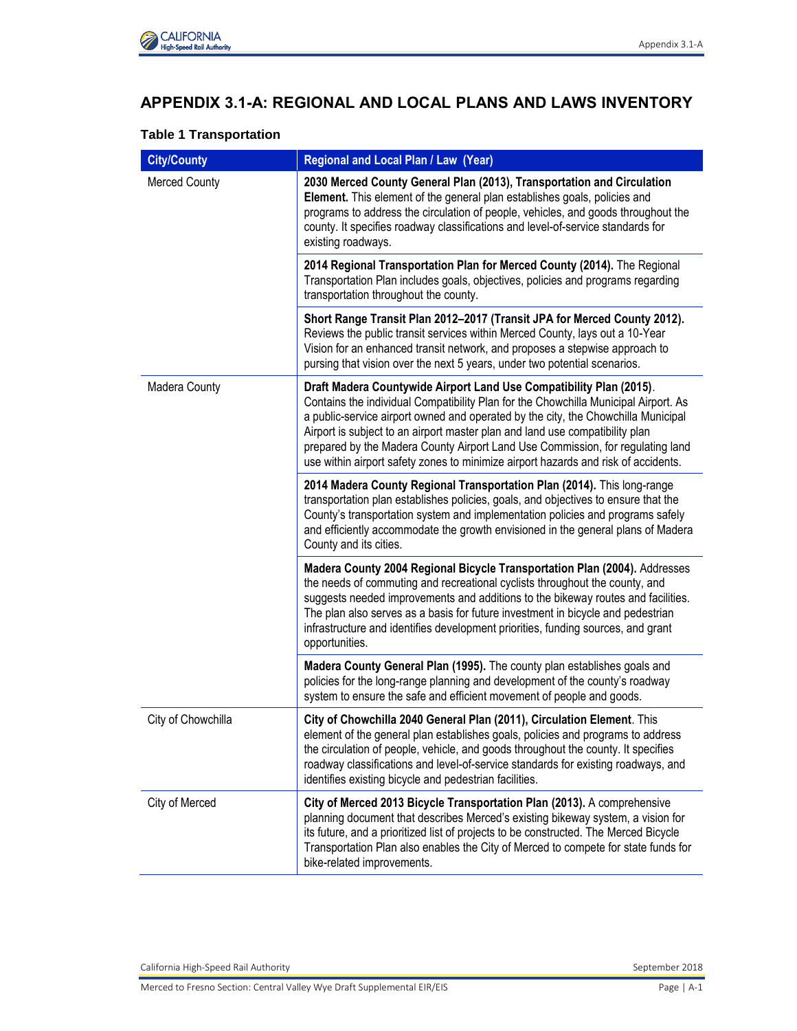

# **APPENDIX 3.1-A: REGIONAL AND LOCAL PLANS AND LAWS INVENTORY**

# **Table 1 Transportation**

| <b>City/County</b>   | Regional and Local Plan / Law (Year)                                                                                                                                                                                                                                                                                                                                                                                                                                                                    |
|----------------------|---------------------------------------------------------------------------------------------------------------------------------------------------------------------------------------------------------------------------------------------------------------------------------------------------------------------------------------------------------------------------------------------------------------------------------------------------------------------------------------------------------|
| <b>Merced County</b> | 2030 Merced County General Plan (2013), Transportation and Circulation<br>Element. This element of the general plan establishes goals, policies and<br>programs to address the circulation of people, vehicles, and goods throughout the<br>county. It specifies roadway classifications and level-of-service standards for<br>existing roadways.                                                                                                                                                       |
|                      | 2014 Regional Transportation Plan for Merced County (2014). The Regional<br>Transportation Plan includes goals, objectives, policies and programs regarding<br>transportation throughout the county.                                                                                                                                                                                                                                                                                                    |
|                      | Short Range Transit Plan 2012-2017 (Transit JPA for Merced County 2012).<br>Reviews the public transit services within Merced County, lays out a 10-Year<br>Vision for an enhanced transit network, and proposes a stepwise approach to<br>pursing that vision over the next 5 years, under two potential scenarios.                                                                                                                                                                                    |
| Madera County        | Draft Madera Countywide Airport Land Use Compatibility Plan (2015).<br>Contains the individual Compatibility Plan for the Chowchilla Municipal Airport. As<br>a public-service airport owned and operated by the city, the Chowchilla Municipal<br>Airport is subject to an airport master plan and land use compatibility plan<br>prepared by the Madera County Airport Land Use Commission, for regulating land<br>use within airport safety zones to minimize airport hazards and risk of accidents. |
|                      | 2014 Madera County Regional Transportation Plan (2014). This long-range<br>transportation plan establishes policies, goals, and objectives to ensure that the<br>County's transportation system and implementation policies and programs safely<br>and efficiently accommodate the growth envisioned in the general plans of Madera<br>County and its cities.                                                                                                                                           |
|                      | Madera County 2004 Regional Bicycle Transportation Plan (2004). Addresses<br>the needs of commuting and recreational cyclists throughout the county, and<br>suggests needed improvements and additions to the bikeway routes and facilities.<br>The plan also serves as a basis for future investment in bicycle and pedestrian<br>infrastructure and identifies development priorities, funding sources, and grant<br>opportunities.                                                                   |
|                      | Madera County General Plan (1995). The county plan establishes goals and<br>policies for the long-range planning and development of the county's roadway<br>system to ensure the safe and efficient movement of people and goods.                                                                                                                                                                                                                                                                       |
| City of Chowchilla   | City of Chowchilla 2040 General Plan (2011), Circulation Element. This<br>element of the general plan establishes goals, policies and programs to address<br>the circulation of people, vehicle, and goods throughout the county. It specifies<br>roadway classifications and level-of-service standards for existing roadways, and<br>identifies existing bicycle and pedestrian facilities.                                                                                                           |
| City of Merced       | City of Merced 2013 Bicycle Transportation Plan (2013). A comprehensive<br>planning document that describes Merced's existing bikeway system, a vision for<br>its future, and a prioritized list of projects to be constructed. The Merced Bicycle<br>Transportation Plan also enables the City of Merced to compete for state funds for<br>bike-related improvements.                                                                                                                                  |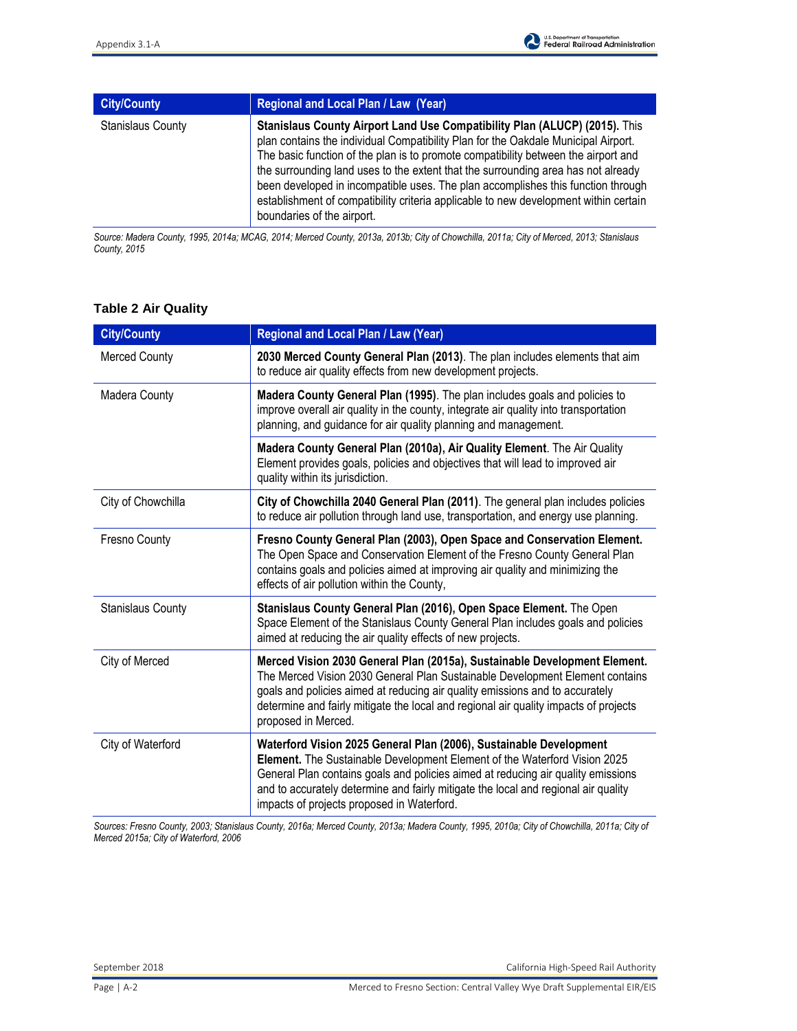| <b>City/County</b>       | Regional and Local Plan / Law (Year)                                                                                                                                                                                                                                                                                                                                                                                                                                                                                                                  |
|--------------------------|-------------------------------------------------------------------------------------------------------------------------------------------------------------------------------------------------------------------------------------------------------------------------------------------------------------------------------------------------------------------------------------------------------------------------------------------------------------------------------------------------------------------------------------------------------|
| <b>Stanislaus County</b> | Stanislaus County Airport Land Use Compatibility Plan (ALUCP) (2015). This<br>plan contains the individual Compatibility Plan for the Oakdale Municipal Airport.<br>The basic function of the plan is to promote compatibility between the airport and<br>the surrounding land uses to the extent that the surrounding area has not already<br>been developed in incompatible uses. The plan accomplishes this function through<br>establishment of compatibility criteria applicable to new development within certain<br>boundaries of the airport. |

*Source: Madera County, 1995, 2014a; MCAG, 2014; Merced County, 2013a, 2013b; City of Chowchilla, 2011a; City of Merced, 2013; Stanislaus County, 2015* 

| <b>City/County</b>       | Regional and Local Plan / Law (Year)                                                                                                                                                                                                                                                                                                                                    |
|--------------------------|-------------------------------------------------------------------------------------------------------------------------------------------------------------------------------------------------------------------------------------------------------------------------------------------------------------------------------------------------------------------------|
| <b>Merced County</b>     | 2030 Merced County General Plan (2013). The plan includes elements that aim<br>to reduce air quality effects from new development projects.                                                                                                                                                                                                                             |
| Madera County            | Madera County General Plan (1995). The plan includes goals and policies to<br>improve overall air quality in the county, integrate air quality into transportation<br>planning, and guidance for air quality planning and management.                                                                                                                                   |
|                          | Madera County General Plan (2010a), Air Quality Element. The Air Quality<br>Element provides goals, policies and objectives that will lead to improved air<br>quality within its jurisdiction.                                                                                                                                                                          |
| City of Chowchilla       | City of Chowchilla 2040 General Plan (2011). The general plan includes policies<br>to reduce air pollution through land use, transportation, and energy use planning.                                                                                                                                                                                                   |
| Fresno County            | Fresno County General Plan (2003), Open Space and Conservation Element.<br>The Open Space and Conservation Element of the Fresno County General Plan<br>contains goals and policies aimed at improving air quality and minimizing the<br>effects of air pollution within the County,                                                                                    |
| <b>Stanislaus County</b> | Stanislaus County General Plan (2016), Open Space Element. The Open<br>Space Element of the Stanislaus County General Plan includes goals and policies<br>aimed at reducing the air quality effects of new projects.                                                                                                                                                    |
| City of Merced           | Merced Vision 2030 General Plan (2015a), Sustainable Development Element.<br>The Merced Vision 2030 General Plan Sustainable Development Element contains<br>goals and policies aimed at reducing air quality emissions and to accurately<br>determine and fairly mitigate the local and regional air quality impacts of projects<br>proposed in Merced.                |
| City of Waterford        | Waterford Vision 2025 General Plan (2006), Sustainable Development<br>Element. The Sustainable Development Element of the Waterford Vision 2025<br>General Plan contains goals and policies aimed at reducing air quality emissions<br>and to accurately determine and fairly mitigate the local and regional air quality<br>impacts of projects proposed in Waterford. |

### **Table 2 Air Quality**

*Sources: Fresno County, 2003; Stanislaus County, 2016a; Merced County, 2013a; Madera County, 1995, 2010a; City of Chowchilla, 2011a; City of Merced 2015a; City of Waterford, 2006*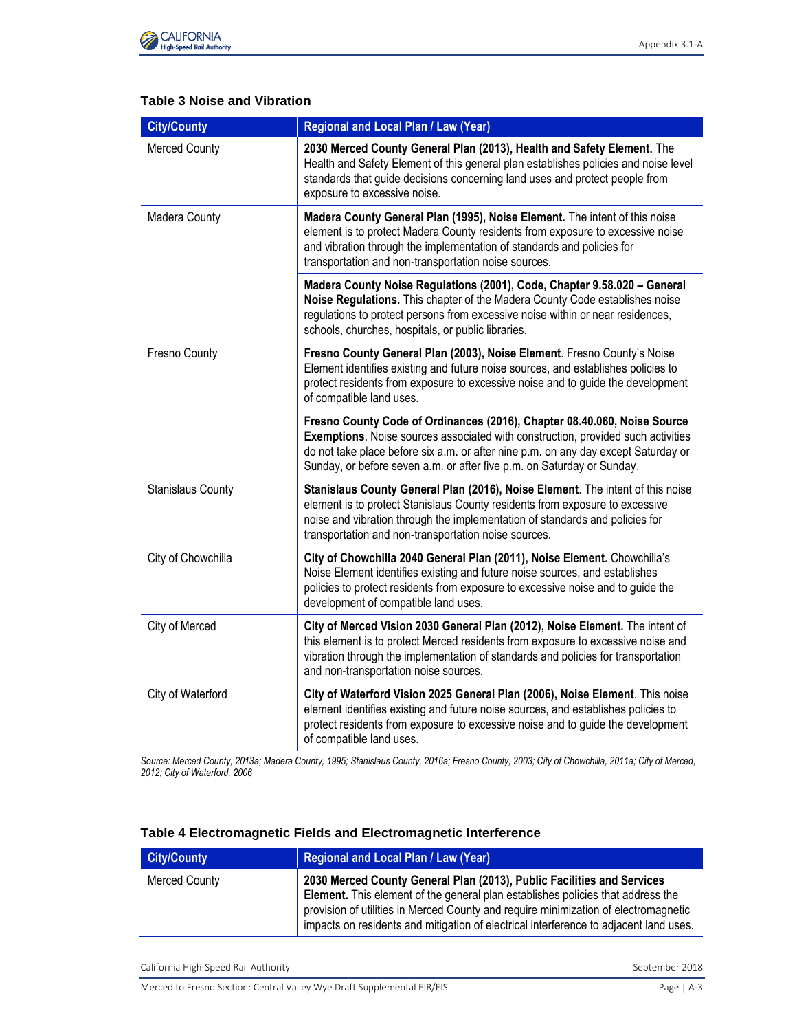

# **Table 3 Noise and Vibration**

| <b>City/County</b>       | Regional and Local Plan / Law (Year)                                                                                                                                                                                                                                                                                         |
|--------------------------|------------------------------------------------------------------------------------------------------------------------------------------------------------------------------------------------------------------------------------------------------------------------------------------------------------------------------|
| <b>Merced County</b>     | 2030 Merced County General Plan (2013), Health and Safety Element. The<br>Health and Safety Element of this general plan establishes policies and noise level<br>standards that guide decisions concerning land uses and protect people from<br>exposure to excessive noise.                                                 |
| Madera County            | Madera County General Plan (1995), Noise Element. The intent of this noise<br>element is to protect Madera County residents from exposure to excessive noise<br>and vibration through the implementation of standards and policies for<br>transportation and non-transportation noise sources.                               |
|                          | Madera County Noise Regulations (2001), Code, Chapter 9.58.020 - General<br>Noise Regulations. This chapter of the Madera County Code establishes noise<br>regulations to protect persons from excessive noise within or near residences,<br>schools, churches, hospitals, or public libraries.                              |
| Fresno County            | Fresno County General Plan (2003), Noise Element. Fresno County's Noise<br>Element identifies existing and future noise sources, and establishes policies to<br>protect residents from exposure to excessive noise and to guide the development<br>of compatible land uses.                                                  |
|                          | Fresno County Code of Ordinances (2016), Chapter 08.40.060, Noise Source<br>Exemptions. Noise sources associated with construction, provided such activities<br>do not take place before six a.m. or after nine p.m. on any day except Saturday or<br>Sunday, or before seven a.m. or after five p.m. on Saturday or Sunday. |
| <b>Stanislaus County</b> | Stanislaus County General Plan (2016), Noise Element. The intent of this noise<br>element is to protect Stanislaus County residents from exposure to excessive<br>noise and vibration through the implementation of standards and policies for<br>transportation and non-transportation noise sources.                       |
| City of Chowchilla       | City of Chowchilla 2040 General Plan (2011), Noise Element. Chowchilla's<br>Noise Element identifies existing and future noise sources, and establishes<br>policies to protect residents from exposure to excessive noise and to guide the<br>development of compatible land uses.                                           |
| City of Merced           | City of Merced Vision 2030 General Plan (2012), Noise Element. The intent of<br>this element is to protect Merced residents from exposure to excessive noise and<br>vibration through the implementation of standards and policies for transportation<br>and non-transportation noise sources.                               |
| City of Waterford        | City of Waterford Vision 2025 General Plan (2006), Noise Element. This noise<br>element identifies existing and future noise sources, and establishes policies to<br>protect residents from exposure to excessive noise and to guide the development<br>of compatible land uses.                                             |

*Source: Merced County, 2013a; Madera County, 1995; Stanislaus County, 2016a; Fresno County, 2003; City of Chowchilla, 2011a; City of Merced, 2012; City of Waterford, 2006*

| <b>City/County</b> | <b>Regional and Local Plan / Law (Year)</b>                                                                                                                                                                                                                                                                                               |
|--------------------|-------------------------------------------------------------------------------------------------------------------------------------------------------------------------------------------------------------------------------------------------------------------------------------------------------------------------------------------|
| Merced County      | 2030 Merced County General Plan (2013), Public Facilities and Services<br>Element. This element of the general plan establishes policies that address the<br>provision of utilities in Merced County and require minimization of electromagnetic<br>impacts on residents and mitigation of electrical interference to adjacent land uses. |

### **Table 4 Electromagnetic Fields and Electromagnetic Interference**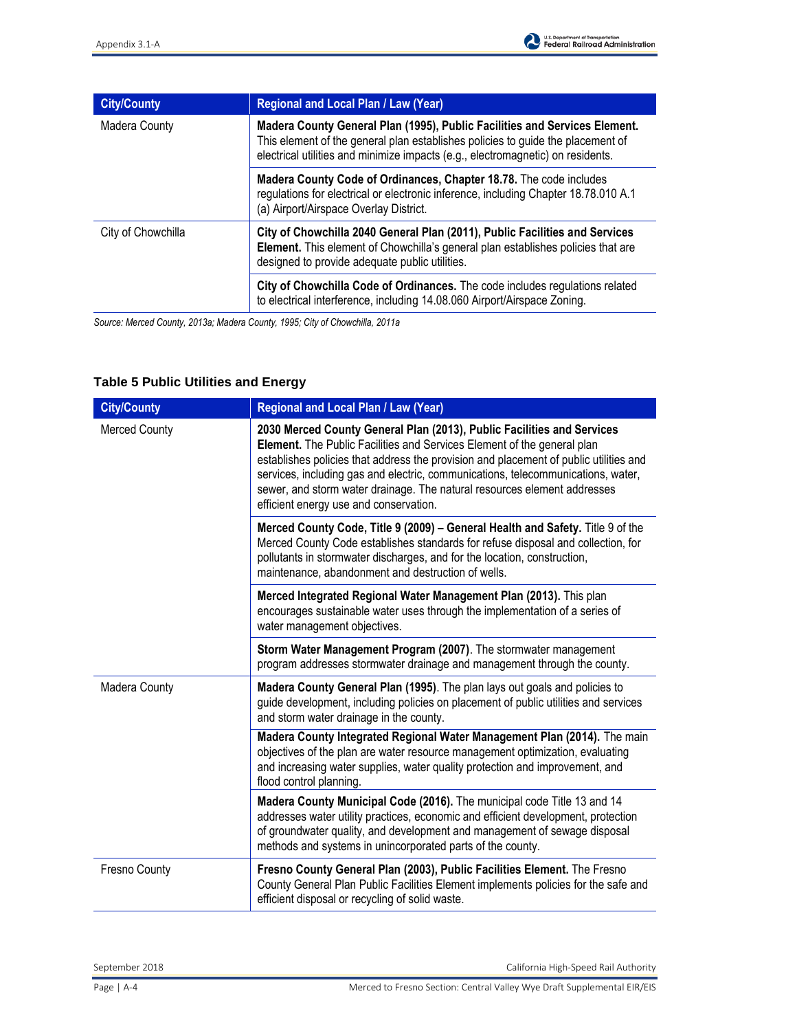| <b>City/County</b> | Regional and Local Plan / Law (Year)                                                                                                                                                                                                             |
|--------------------|--------------------------------------------------------------------------------------------------------------------------------------------------------------------------------------------------------------------------------------------------|
| Madera County      | Madera County General Plan (1995), Public Facilities and Services Element.<br>This element of the general plan establishes policies to guide the placement of<br>electrical utilities and minimize impacts (e.g., electromagnetic) on residents. |
|                    | Madera County Code of Ordinances, Chapter 18.78. The code includes<br>regulations for electrical or electronic inference, including Chapter 18.78.010 A.1<br>(a) Airport/Airspace Overlay District.                                              |
| City of Chowchilla | City of Chowchilla 2040 General Plan (2011), Public Facilities and Services<br>Element. This element of Chowchilla's general plan establishes policies that are<br>designed to provide adequate public utilities.                                |
|                    | City of Chowchilla Code of Ordinances. The code includes regulations related<br>to electrical interference, including 14.08.060 Airport/Airspace Zoning.                                                                                         |

*Source: Merced County, 2013a; Madera County, 1995; City of Chowchilla, 2011a* 

# **Table 5 Public Utilities and Energy**

| <b>City/County</b>   | Regional and Local Plan / Law (Year)                                                                                                                                                                                                                                                                                                                                                                                                                 |
|----------------------|------------------------------------------------------------------------------------------------------------------------------------------------------------------------------------------------------------------------------------------------------------------------------------------------------------------------------------------------------------------------------------------------------------------------------------------------------|
| <b>Merced County</b> | 2030 Merced County General Plan (2013), Public Facilities and Services<br>Element. The Public Facilities and Services Element of the general plan<br>establishes policies that address the provision and placement of public utilities and<br>services, including gas and electric, communications, telecommunications, water,<br>sewer, and storm water drainage. The natural resources element addresses<br>efficient energy use and conservation. |
|                      | Merced County Code, Title 9 (2009) - General Health and Safety. Title 9 of the<br>Merced County Code establishes standards for refuse disposal and collection, for<br>pollutants in stormwater discharges, and for the location, construction,<br>maintenance, abandonment and destruction of wells.                                                                                                                                                 |
|                      | Merced Integrated Regional Water Management Plan (2013). This plan<br>encourages sustainable water uses through the implementation of a series of<br>water management objectives.                                                                                                                                                                                                                                                                    |
|                      | Storm Water Management Program (2007). The stormwater management<br>program addresses stormwater drainage and management through the county.                                                                                                                                                                                                                                                                                                         |
| Madera County        | Madera County General Plan (1995). The plan lays out goals and policies to<br>guide development, including policies on placement of public utilities and services<br>and storm water drainage in the county.                                                                                                                                                                                                                                         |
|                      | Madera County Integrated Regional Water Management Plan (2014). The main<br>objectives of the plan are water resource management optimization, evaluating<br>and increasing water supplies, water quality protection and improvement, and<br>flood control planning                                                                                                                                                                                  |
|                      | Madera County Municipal Code (2016). The municipal code Title 13 and 14<br>addresses water utility practices, economic and efficient development, protection<br>of groundwater quality, and development and management of sewage disposal<br>methods and systems in unincorporated parts of the county.                                                                                                                                              |
| Fresno County        | Fresno County General Plan (2003), Public Facilities Element. The Fresno<br>County General Plan Public Facilities Element implements policies for the safe and<br>efficient disposal or recycling of solid waste.                                                                                                                                                                                                                                    |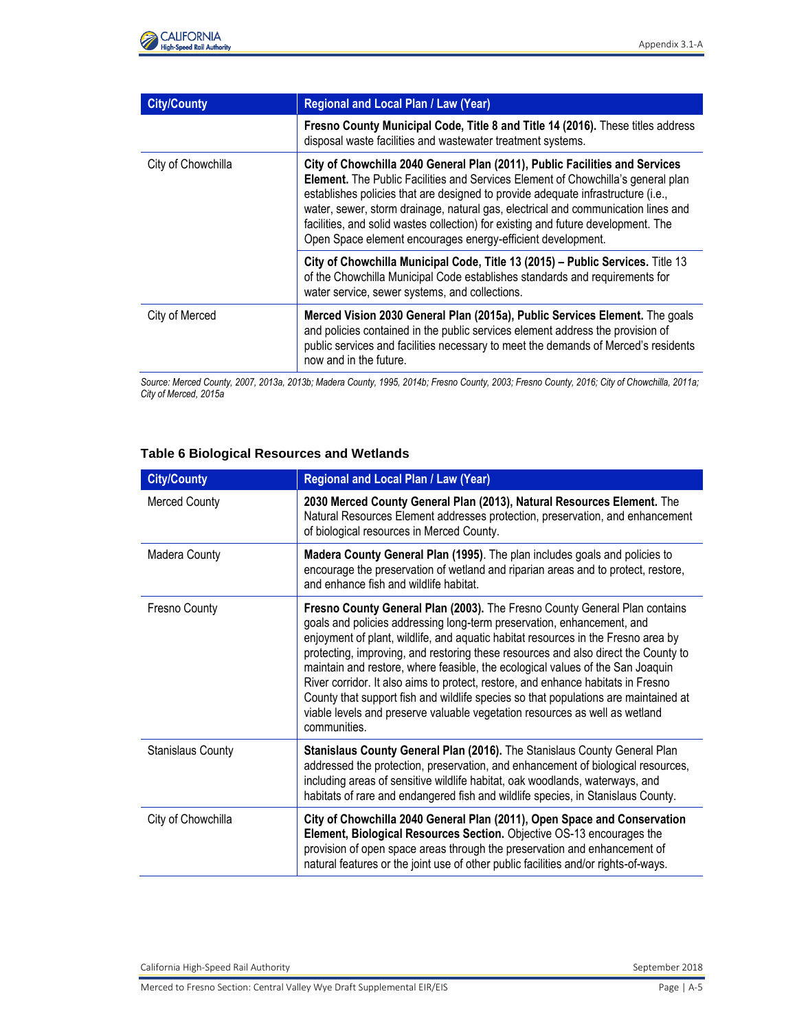

| <b>City/County</b> | Regional and Local Plan / Law (Year)                                                                                                                                                                                                                                                                                                                                                                                                                                                         |
|--------------------|----------------------------------------------------------------------------------------------------------------------------------------------------------------------------------------------------------------------------------------------------------------------------------------------------------------------------------------------------------------------------------------------------------------------------------------------------------------------------------------------|
|                    | Fresno County Municipal Code, Title 8 and Title 14 (2016). These titles address<br>disposal waste facilities and wastewater treatment systems.                                                                                                                                                                                                                                                                                                                                               |
| City of Chowchilla | City of Chowchilla 2040 General Plan (2011), Public Facilities and Services<br>Element. The Public Facilities and Services Element of Chowchilla's general plan<br>establishes policies that are designed to provide adequate infrastructure (i.e.,<br>water, sewer, storm drainage, natural gas, electrical and communication lines and<br>facilities, and solid wastes collection) for existing and future development. The<br>Open Space element encourages energy-efficient development. |
|                    | City of Chowchilla Municipal Code, Title 13 (2015) - Public Services. Title 13<br>of the Chowchilla Municipal Code establishes standards and requirements for<br>water service, sewer systems, and collections.                                                                                                                                                                                                                                                                              |
| City of Merced     | Merced Vision 2030 General Plan (2015a), Public Services Element. The goals<br>and policies contained in the public services element address the provision of<br>public services and facilities necessary to meet the demands of Merced's residents<br>now and in the future.                                                                                                                                                                                                                |

*Source: Merced County, 2007, 2013a, 2013b; Madera County, 1995, 2014b; Fresno County, 2003; Fresno County, 2016; City of Chowchilla, 2011a; City of Merced, 2015a* 

### **Table 6 Biological Resources and Wetlands**

| <b>City/County</b>       | Regional and Local Plan / Law (Year)                                                                                                                                                                                                                                                                                                                                                                                                                                                                                                                                                                                                                                                        |
|--------------------------|---------------------------------------------------------------------------------------------------------------------------------------------------------------------------------------------------------------------------------------------------------------------------------------------------------------------------------------------------------------------------------------------------------------------------------------------------------------------------------------------------------------------------------------------------------------------------------------------------------------------------------------------------------------------------------------------|
| <b>Merced County</b>     | 2030 Merced County General Plan (2013), Natural Resources Element. The<br>Natural Resources Element addresses protection, preservation, and enhancement<br>of biological resources in Merced County.                                                                                                                                                                                                                                                                                                                                                                                                                                                                                        |
| <b>Madera County</b>     | Madera County General Plan (1995). The plan includes goals and policies to<br>encourage the preservation of wetland and riparian areas and to protect, restore,<br>and enhance fish and wildlife habitat.                                                                                                                                                                                                                                                                                                                                                                                                                                                                                   |
| Fresno County            | Fresno County General Plan (2003). The Fresno County General Plan contains<br>goals and policies addressing long-term preservation, enhancement, and<br>enjoyment of plant, wildlife, and aquatic habitat resources in the Fresno area by<br>protecting, improving, and restoring these resources and also direct the County to<br>maintain and restore, where feasible, the ecological values of the San Joaquin<br>River corridor. It also aims to protect, restore, and enhance habitats in Fresno<br>County that support fish and wildlife species so that populations are maintained at<br>viable levels and preserve valuable vegetation resources as well as wetland<br>communities. |
| <b>Stanislaus County</b> | Stanislaus County General Plan (2016). The Stanislaus County General Plan<br>addressed the protection, preservation, and enhancement of biological resources,<br>including areas of sensitive wildlife habitat, oak woodlands, waterways, and<br>habitats of rare and endangered fish and wildlife species, in Stanislaus County.                                                                                                                                                                                                                                                                                                                                                           |
| City of Chowchilla       | City of Chowchilla 2040 General Plan (2011), Open Space and Conservation<br>Element, Biological Resources Section. Objective OS-13 encourages the<br>provision of open space areas through the preservation and enhancement of<br>natural features or the joint use of other public facilities and/or rights-of-ways.                                                                                                                                                                                                                                                                                                                                                                       |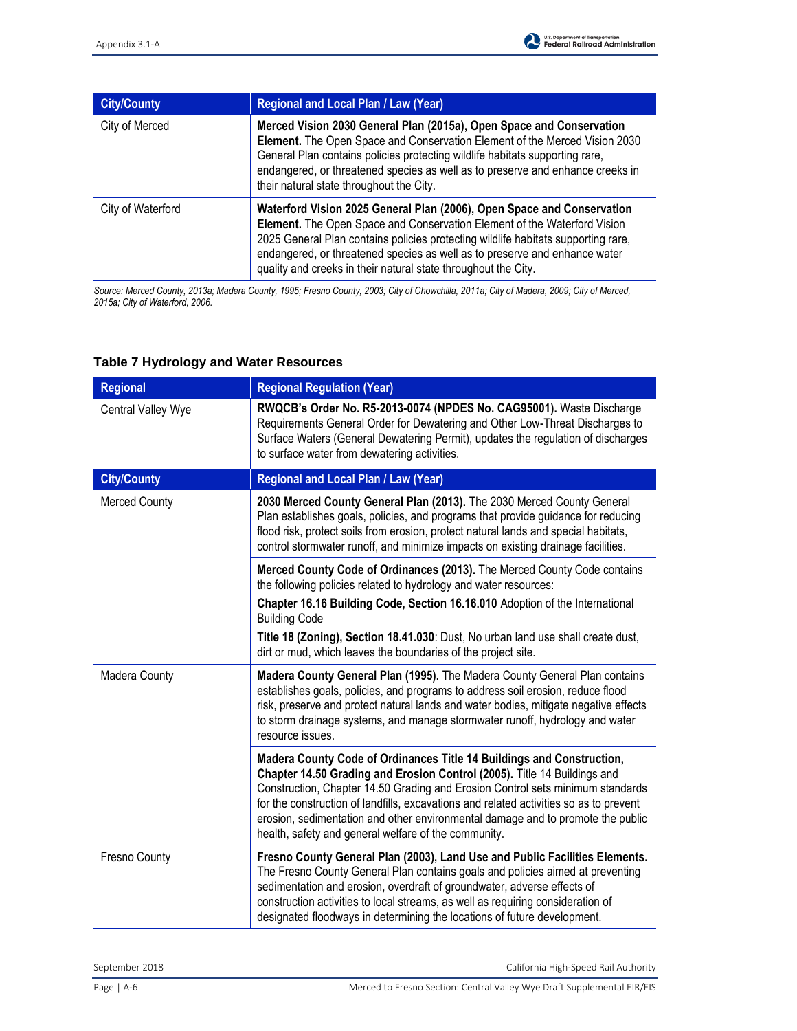| <b>City/County</b> | <b>Regional and Local Plan / Law (Year)</b>                                                                                                                                                                                                                                                                                                                                             |
|--------------------|-----------------------------------------------------------------------------------------------------------------------------------------------------------------------------------------------------------------------------------------------------------------------------------------------------------------------------------------------------------------------------------------|
| City of Merced     | Merced Vision 2030 General Plan (2015a), Open Space and Conservation<br><b>Element.</b> The Open Space and Conservation Element of the Merced Vision 2030<br>General Plan contains policies protecting wildlife habitats supporting rare,<br>endangered, or threatened species as well as to preserve and enhance creeks in<br>their natural state throughout the City.                 |
| City of Waterford  | Waterford Vision 2025 General Plan (2006), Open Space and Conservation<br>Element. The Open Space and Conservation Element of the Waterford Vision<br>2025 General Plan contains policies protecting wildlife habitats supporting rare,<br>endangered, or threatened species as well as to preserve and enhance water<br>quality and creeks in their natural state throughout the City. |

*Source: Merced County, 2013a; Madera County, 1995; Fresno County, 2003; City of Chowchilla, 2011a; City of Madera, 2009; City of Merced, 2015a; City of Waterford, 2006.* 

| <b>Regional</b>      | <b>Regional Regulation (Year)</b>                                                                                                                                                                                                                                                                                                                                                                                                                                        |
|----------------------|--------------------------------------------------------------------------------------------------------------------------------------------------------------------------------------------------------------------------------------------------------------------------------------------------------------------------------------------------------------------------------------------------------------------------------------------------------------------------|
| Central Valley Wye   | RWQCB's Order No. R5-2013-0074 (NPDES No. CAG95001). Waste Discharge<br>Requirements General Order for Dewatering and Other Low-Threat Discharges to<br>Surface Waters (General Dewatering Permit), updates the regulation of discharges<br>to surface water from dewatering activities.                                                                                                                                                                                 |
| <b>City/County</b>   | Regional and Local Plan / Law (Year)                                                                                                                                                                                                                                                                                                                                                                                                                                     |
| <b>Merced County</b> | 2030 Merced County General Plan (2013). The 2030 Merced County General<br>Plan establishes goals, policies, and programs that provide guidance for reducing<br>flood risk, protect soils from erosion, protect natural lands and special habitats,<br>control stormwater runoff, and minimize impacts on existing drainage facilities.                                                                                                                                   |
|                      | Merced County Code of Ordinances (2013). The Merced County Code contains<br>the following policies related to hydrology and water resources:                                                                                                                                                                                                                                                                                                                             |
|                      | Chapter 16.16 Building Code, Section 16.16.010 Adoption of the International<br><b>Building Code</b>                                                                                                                                                                                                                                                                                                                                                                     |
|                      | Title 18 (Zoning), Section 18.41.030: Dust, No urban land use shall create dust,<br>dirt or mud, which leaves the boundaries of the project site.                                                                                                                                                                                                                                                                                                                        |
| Madera County        | Madera County General Plan (1995). The Madera County General Plan contains<br>establishes goals, policies, and programs to address soil erosion, reduce flood<br>risk, preserve and protect natural lands and water bodies, mitigate negative effects<br>to storm drainage systems, and manage stormwater runoff, hydrology and water<br>resource issues.                                                                                                                |
|                      | Madera County Code of Ordinances Title 14 Buildings and Construction,<br>Chapter 14.50 Grading and Erosion Control (2005). Title 14 Buildings and<br>Construction, Chapter 14.50 Grading and Erosion Control sets minimum standards<br>for the construction of landfills, excavations and related activities so as to prevent<br>erosion, sedimentation and other environmental damage and to promote the public<br>health, safety and general welfare of the community. |
| Fresno County        | Fresno County General Plan (2003), Land Use and Public Facilities Elements.<br>The Fresno County General Plan contains goals and policies aimed at preventing<br>sedimentation and erosion, overdraft of groundwater, adverse effects of<br>construction activities to local streams, as well as requiring consideration of<br>designated floodways in determining the locations of future development.                                                                  |

### **Table 7 Hydrology and Water Resources**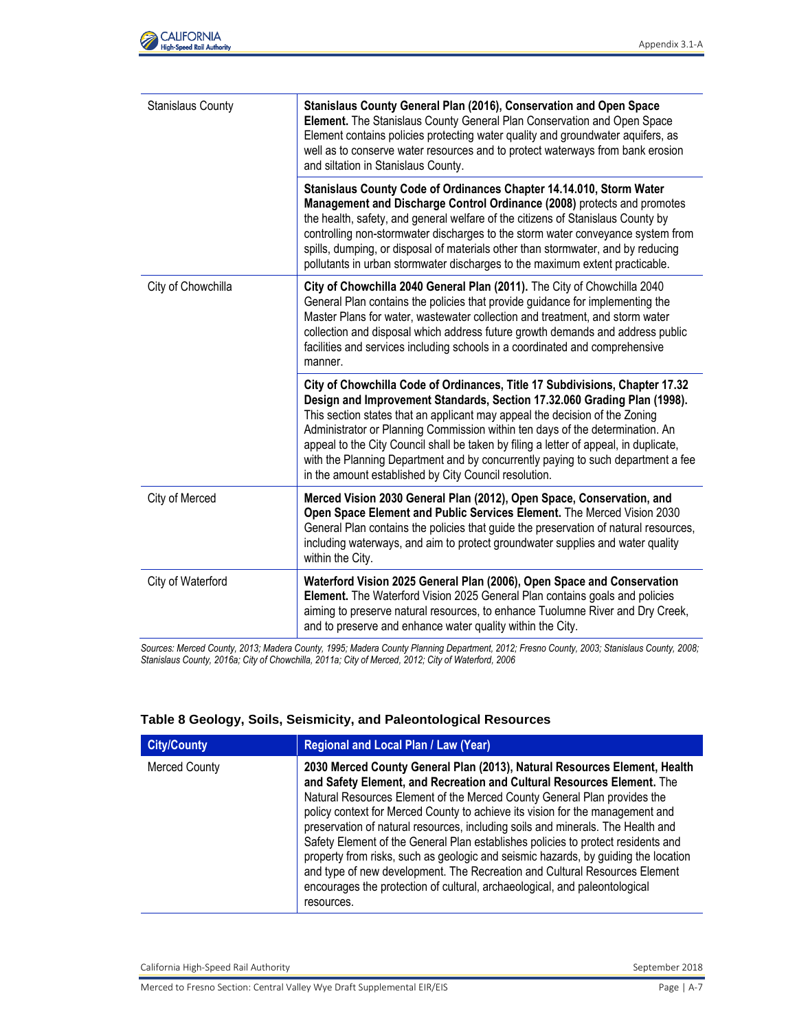| <b>Stanislaus County</b> | Stanislaus County General Plan (2016), Conservation and Open Space<br>Element. The Stanislaus County General Plan Conservation and Open Space<br>Element contains policies protecting water quality and groundwater aquifers, as<br>well as to conserve water resources and to protect waterways from bank erosion<br>and siltation in Stanislaus County.                                                                                                                                                                                                     |
|--------------------------|---------------------------------------------------------------------------------------------------------------------------------------------------------------------------------------------------------------------------------------------------------------------------------------------------------------------------------------------------------------------------------------------------------------------------------------------------------------------------------------------------------------------------------------------------------------|
|                          | Stanislaus County Code of Ordinances Chapter 14.14.010, Storm Water<br>Management and Discharge Control Ordinance (2008) protects and promotes<br>the health, safety, and general welfare of the citizens of Stanislaus County by<br>controlling non-stormwater discharges to the storm water conveyance system from<br>spills, dumping, or disposal of materials other than stormwater, and by reducing<br>pollutants in urban stormwater discharges to the maximum extent practicable.                                                                      |
| City of Chowchilla       | City of Chowchilla 2040 General Plan (2011). The City of Chowchilla 2040<br>General Plan contains the policies that provide guidance for implementing the<br>Master Plans for water, wastewater collection and treatment, and storm water<br>collection and disposal which address future growth demands and address public<br>facilities and services including schools in a coordinated and comprehensive<br>manner.                                                                                                                                        |
|                          | City of Chowchilla Code of Ordinances, Title 17 Subdivisions, Chapter 17.32<br>Design and Improvement Standards, Section 17.32.060 Grading Plan (1998).<br>This section states that an applicant may appeal the decision of the Zoning<br>Administrator or Planning Commission within ten days of the determination. An<br>appeal to the City Council shall be taken by filing a letter of appeal, in duplicate,<br>with the Planning Department and by concurrently paying to such department a fee<br>in the amount established by City Council resolution. |
| City of Merced           | Merced Vision 2030 General Plan (2012), Open Space, Conservation, and<br>Open Space Element and Public Services Element. The Merced Vision 2030<br>General Plan contains the policies that guide the preservation of natural resources,<br>including waterways, and aim to protect groundwater supplies and water quality<br>within the City.                                                                                                                                                                                                                 |
| City of Waterford        | Waterford Vision 2025 General Plan (2006), Open Space and Conservation<br>Element. The Waterford Vision 2025 General Plan contains goals and policies<br>aiming to preserve natural resources, to enhance Tuolumne River and Dry Creek,<br>and to preserve and enhance water quality within the City.                                                                                                                                                                                                                                                         |

*Sources: Merced County, 2013; Madera County, 1995; Madera County Planning Department, 2012; Fresno County, 2003; Stanislaus County, 2008; Stanislaus County, 2016a; City of Chowchilla, 2011a; City of Merced, 2012; City of Waterford, 2006* 

#### **Table 8 Geology, Soils, Seismicity, and Paleontological Resources**

| <b>City/County</b>   | Regional and Local Plan / Law (Year)                                                                                                                                                                                                                                                                                                                                                                                                                                                                                                                                                                                                                                                                                                                    |
|----------------------|---------------------------------------------------------------------------------------------------------------------------------------------------------------------------------------------------------------------------------------------------------------------------------------------------------------------------------------------------------------------------------------------------------------------------------------------------------------------------------------------------------------------------------------------------------------------------------------------------------------------------------------------------------------------------------------------------------------------------------------------------------|
| <b>Merced County</b> | 2030 Merced County General Plan (2013), Natural Resources Element, Health<br>and Safety Element, and Recreation and Cultural Resources Element. The<br>Natural Resources Element of the Merced County General Plan provides the<br>policy context for Merced County to achieve its vision for the management and<br>preservation of natural resources, including soils and minerals. The Health and<br>Safety Element of the General Plan establishes policies to protect residents and<br>property from risks, such as geologic and seismic hazards, by quiding the location<br>and type of new development. The Recreation and Cultural Resources Element<br>encourages the protection of cultural, archaeological, and paleontological<br>resources. |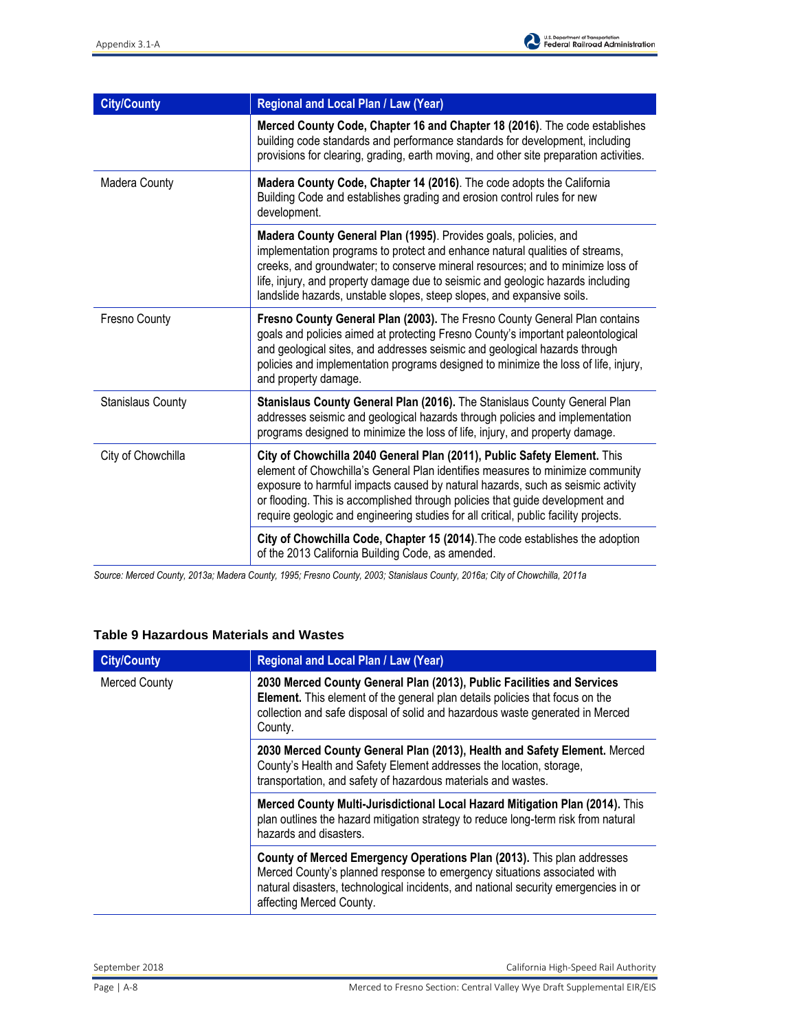

| <b>City/County</b>       | Regional and Local Plan / Law (Year)                                                                                                                                                                                                                                                                                                                                                                                   |
|--------------------------|------------------------------------------------------------------------------------------------------------------------------------------------------------------------------------------------------------------------------------------------------------------------------------------------------------------------------------------------------------------------------------------------------------------------|
|                          | Merced County Code, Chapter 16 and Chapter 18 (2016). The code establishes<br>building code standards and performance standards for development, including<br>provisions for clearing, grading, earth moving, and other site preparation activities.                                                                                                                                                                   |
| Madera County            | Madera County Code, Chapter 14 (2016). The code adopts the California<br>Building Code and establishes grading and erosion control rules for new<br>development.                                                                                                                                                                                                                                                       |
|                          | Madera County General Plan (1995). Provides goals, policies, and<br>implementation programs to protect and enhance natural qualities of streams,<br>creeks, and groundwater; to conserve mineral resources; and to minimize loss of<br>life, injury, and property damage due to seismic and geologic hazards including<br>landslide hazards, unstable slopes, steep slopes, and expansive soils.                       |
| Fresno County            | Fresno County General Plan (2003). The Fresno County General Plan contains<br>goals and policies aimed at protecting Fresno County's important paleontological<br>and geological sites, and addresses seismic and geological hazards through<br>policies and implementation programs designed to minimize the loss of life, injury,<br>and property damage.                                                            |
| <b>Stanislaus County</b> | Stanislaus County General Plan (2016). The Stanislaus County General Plan<br>addresses seismic and geological hazards through policies and implementation<br>programs designed to minimize the loss of life, injury, and property damage.                                                                                                                                                                              |
| City of Chowchilla       | City of Chowchilla 2040 General Plan (2011), Public Safety Element. This<br>element of Chowchilla's General Plan identifies measures to minimize community<br>exposure to harmful impacts caused by natural hazards, such as seismic activity<br>or flooding. This is accomplished through policies that guide development and<br>require geologic and engineering studies for all critical, public facility projects. |
|                          | City of Chowchilla Code, Chapter 15 (2014). The code establishes the adoption<br>of the 2013 California Building Code, as amended.                                                                                                                                                                                                                                                                                     |

*Source: Merced County, 2013a; Madera County, 1995; Fresno County, 2003; Stanislaus County, 2016a; City of Chowchilla, 2011a* 

### **Table 9 Hazardous Materials and Wastes**

| <b>City/County</b>   | <b>Regional and Local Plan / Law (Year)</b>                                                                                                                                                                                                                           |
|----------------------|-----------------------------------------------------------------------------------------------------------------------------------------------------------------------------------------------------------------------------------------------------------------------|
| <b>Merced County</b> | 2030 Merced County General Plan (2013), Public Facilities and Services<br>Element. This element of the general plan details policies that focus on the<br>collection and safe disposal of solid and hazardous waste generated in Merced<br>County.                    |
|                      | 2030 Merced County General Plan (2013), Health and Safety Element. Merced<br>County's Health and Safety Element addresses the location, storage,<br>transportation, and safety of hazardous materials and wastes.                                                     |
|                      | <b>Merced County Multi-Jurisdictional Local Hazard Mitigation Plan (2014).</b> This<br>plan outlines the hazard mitigation strategy to reduce long-term risk from natural<br>hazards and disasters.                                                                   |
|                      | County of Merced Emergency Operations Plan (2013). This plan addresses<br>Merced County's planned response to emergency situations associated with<br>natural disasters, technological incidents, and national security emergencies in or<br>affecting Merced County. |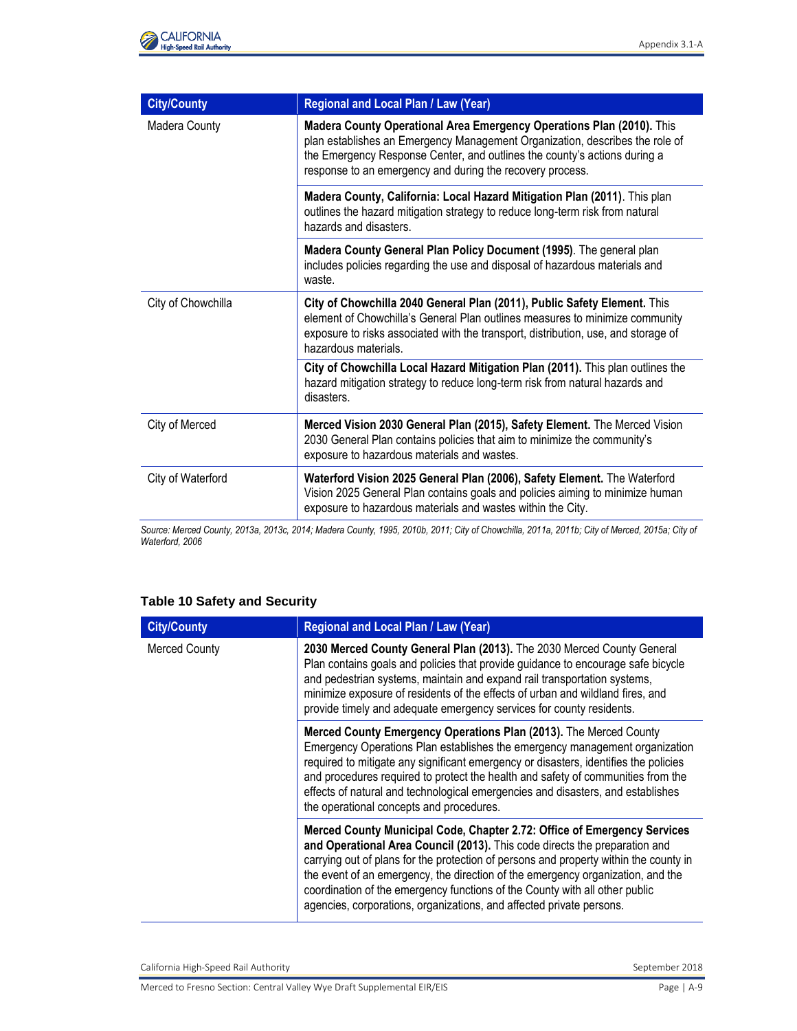

| <b>City/County</b> | Regional and Local Plan / Law (Year)                                                                                                                                                                                                                                                            |
|--------------------|-------------------------------------------------------------------------------------------------------------------------------------------------------------------------------------------------------------------------------------------------------------------------------------------------|
| Madera County      | Madera County Operational Area Emergency Operations Plan (2010). This<br>plan establishes an Emergency Management Organization, describes the role of<br>the Emergency Response Center, and outlines the county's actions during a<br>response to an emergency and during the recovery process. |
|                    | Madera County, California: Local Hazard Mitigation Plan (2011). This plan<br>outlines the hazard mitigation strategy to reduce long-term risk from natural<br>hazards and disasters.                                                                                                            |
|                    | Madera County General Plan Policy Document (1995). The general plan<br>includes policies regarding the use and disposal of hazardous materials and<br>waste.                                                                                                                                    |
| City of Chowchilla | City of Chowchilla 2040 General Plan (2011), Public Safety Element. This<br>element of Chowchilla's General Plan outlines measures to minimize community<br>exposure to risks associated with the transport, distribution, use, and storage of<br>hazardous materials.                          |
|                    | City of Chowchilla Local Hazard Mitigation Plan (2011). This plan outlines the<br>hazard mitigation strategy to reduce long-term risk from natural hazards and<br>disasters.                                                                                                                    |
| City of Merced     | Merced Vision 2030 General Plan (2015), Safety Element. The Merced Vision<br>2030 General Plan contains policies that aim to minimize the community's<br>exposure to hazardous materials and wastes.                                                                                            |
| City of Waterford  | Waterford Vision 2025 General Plan (2006), Safety Element. The Waterford<br>Vision 2025 General Plan contains goals and policies aiming to minimize human<br>exposure to hazardous materials and wastes within the City.                                                                        |

*Source: Merced County, 2013a, 2013c, 2014; Madera County, 1995, 2010b, 2011; City of Chowchilla, 2011a, 2011b; City of Merced, 2015a; City of Waterford, 2006* 

#### **Table 10 Safety and Security**

| <b>City/County</b>   | Regional and Local Plan / Law (Year)                                                                                                                                                                                                                                                                                                                                                                                                                                                      |
|----------------------|-------------------------------------------------------------------------------------------------------------------------------------------------------------------------------------------------------------------------------------------------------------------------------------------------------------------------------------------------------------------------------------------------------------------------------------------------------------------------------------------|
| <b>Merced County</b> | 2030 Merced County General Plan (2013). The 2030 Merced County General<br>Plan contains goals and policies that provide guidance to encourage safe bicycle<br>and pedestrian systems, maintain and expand rail transportation systems,<br>minimize exposure of residents of the effects of urban and wildland fires, and<br>provide timely and adequate emergency services for county residents.                                                                                          |
|                      | Merced County Emergency Operations Plan (2013). The Merced County<br>Emergency Operations Plan establishes the emergency management organization<br>required to mitigate any significant emergency or disasters, identifies the policies<br>and procedures required to protect the health and safety of communities from the<br>effects of natural and technological emergencies and disasters, and establishes<br>the operational concepts and procedures.                               |
|                      | Merced County Municipal Code, Chapter 2.72: Office of Emergency Services<br>and Operational Area Council (2013). This code directs the preparation and<br>carrying out of plans for the protection of persons and property within the county in<br>the event of an emergency, the direction of the emergency organization, and the<br>coordination of the emergency functions of the County with all other public<br>agencies, corporations, organizations, and affected private persons. |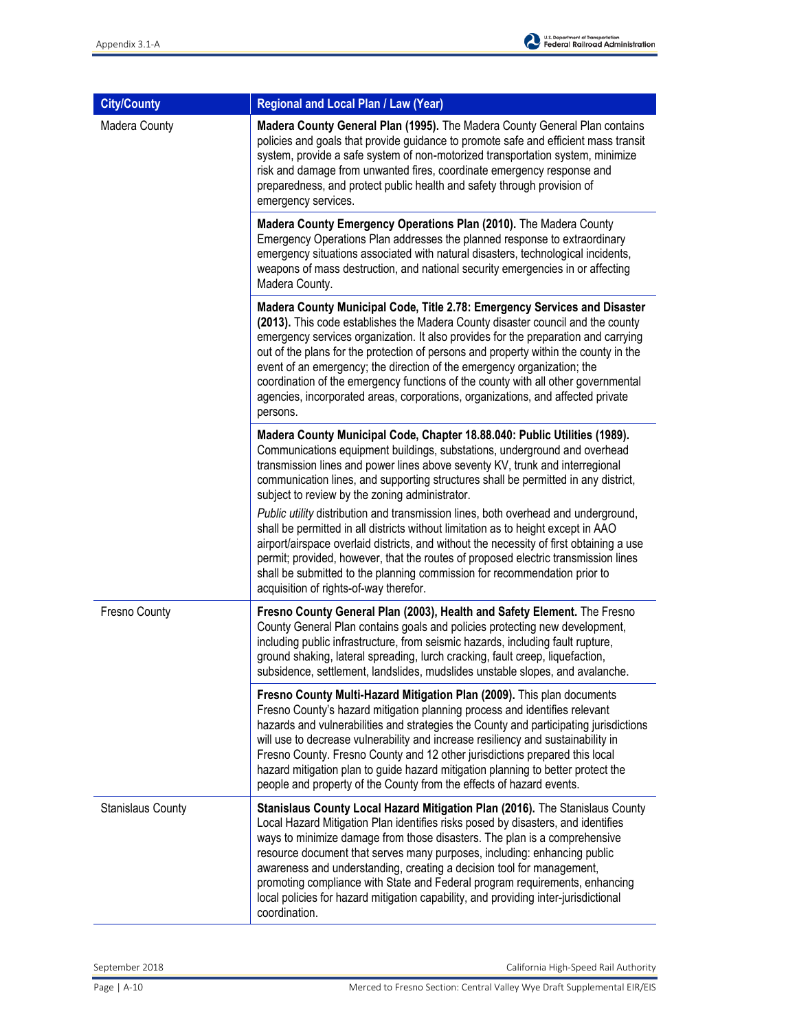| <b>City/County</b>       | Regional and Local Plan / Law (Year)                                                                                                                                                                                                                                                                                                                                                                                                                                                                                                                                                                      |
|--------------------------|-----------------------------------------------------------------------------------------------------------------------------------------------------------------------------------------------------------------------------------------------------------------------------------------------------------------------------------------------------------------------------------------------------------------------------------------------------------------------------------------------------------------------------------------------------------------------------------------------------------|
| Madera County            | Madera County General Plan (1995). The Madera County General Plan contains<br>policies and goals that provide guidance to promote safe and efficient mass transit<br>system, provide a safe system of non-motorized transportation system, minimize<br>risk and damage from unwanted fires, coordinate emergency response and<br>preparedness, and protect public health and safety through provision of<br>emergency services.                                                                                                                                                                           |
|                          | Madera County Emergency Operations Plan (2010). The Madera County<br>Emergency Operations Plan addresses the planned response to extraordinary<br>emergency situations associated with natural disasters, technological incidents,<br>weapons of mass destruction, and national security emergencies in or affecting<br>Madera County.                                                                                                                                                                                                                                                                    |
|                          | Madera County Municipal Code, Title 2.78: Emergency Services and Disaster<br>(2013). This code establishes the Madera County disaster council and the county<br>emergency services organization. It also provides for the preparation and carrying<br>out of the plans for the protection of persons and property within the county in the<br>event of an emergency; the direction of the emergency organization; the<br>coordination of the emergency functions of the county with all other governmental<br>agencies, incorporated areas, corporations, organizations, and affected private<br>persons. |
|                          | Madera County Municipal Code, Chapter 18.88.040: Public Utilities (1989).<br>Communications equipment buildings, substations, underground and overhead<br>transmission lines and power lines above seventy KV, trunk and interregional<br>communication lines, and supporting structures shall be permitted in any district,<br>subject to review by the zoning administrator.                                                                                                                                                                                                                            |
|                          | Public utility distribution and transmission lines, both overhead and underground,<br>shall be permitted in all districts without limitation as to height except in AAO<br>airport/airspace overlaid districts, and without the necessity of first obtaining a use<br>permit; provided, however, that the routes of proposed electric transmission lines<br>shall be submitted to the planning commission for recommendation prior to<br>acquisition of rights-of-way therefor.                                                                                                                           |
| Fresno County            | Fresno County General Plan (2003), Health and Safety Element. The Fresno<br>County General Plan contains goals and policies protecting new development,<br>including public infrastructure, from seismic hazards, including fault rupture,<br>ground shaking, lateral spreading, lurch cracking, fault creep, liquefaction,<br>subsidence, settlement, landslides, mudslides unstable slopes, and avalanche.                                                                                                                                                                                              |
|                          | Fresno County Multi-Hazard Mitigation Plan (2009). This plan documents<br>Fresno County's hazard mitigation planning process and identifies relevant<br>hazards and vulnerabilities and strategies the County and participating jurisdictions<br>will use to decrease vulnerability and increase resiliency and sustainability in<br>Fresno County. Fresno County and 12 other jurisdictions prepared this local<br>hazard mitigation plan to guide hazard mitigation planning to better protect the<br>people and property of the County from the effects of hazard events.                              |
| <b>Stanislaus County</b> | Stanislaus County Local Hazard Mitigation Plan (2016). The Stanislaus County<br>Local Hazard Mitigation Plan identifies risks posed by disasters, and identifies<br>ways to minimize damage from those disasters. The plan is a comprehensive<br>resource document that serves many purposes, including: enhancing public<br>awareness and understanding, creating a decision tool for management,<br>promoting compliance with State and Federal program requirements, enhancing<br>local policies for hazard mitigation capability, and providing inter-jurisdictional<br>coordination.                 |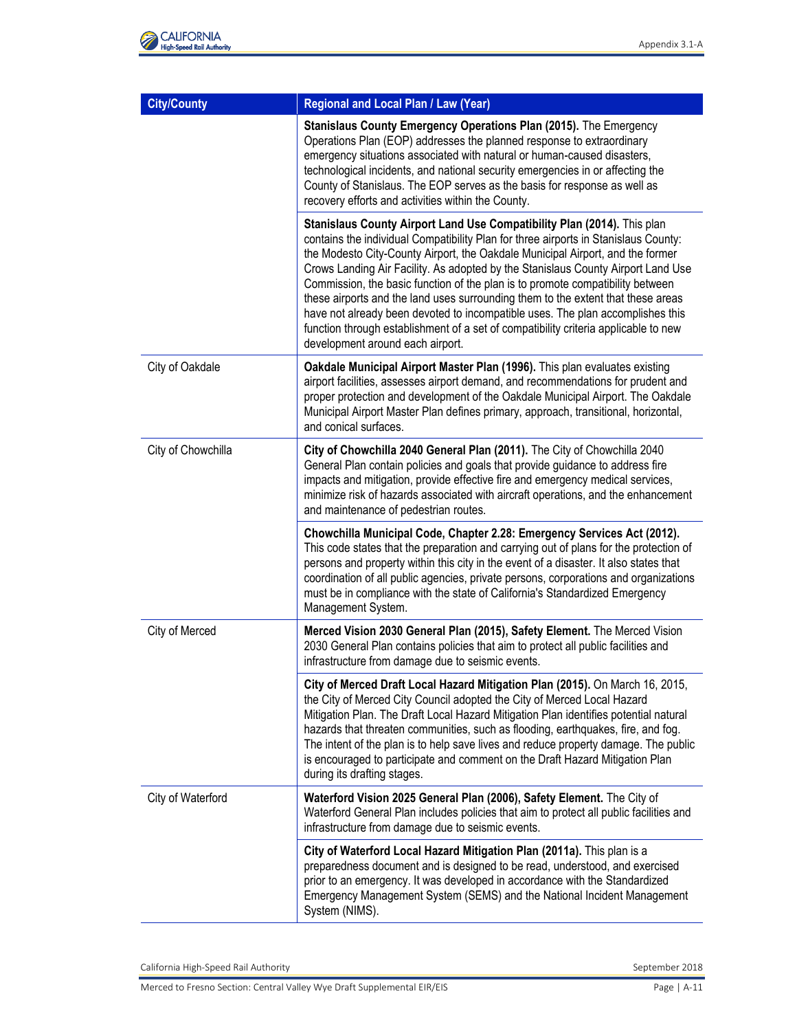| <b>City/County</b> | Regional and Local Plan / Law (Year)                                                                                                                                                                                                                                                                                                                                                                                                                                                                                                                                                                                                                                                                                    |
|--------------------|-------------------------------------------------------------------------------------------------------------------------------------------------------------------------------------------------------------------------------------------------------------------------------------------------------------------------------------------------------------------------------------------------------------------------------------------------------------------------------------------------------------------------------------------------------------------------------------------------------------------------------------------------------------------------------------------------------------------------|
|                    | Stanislaus County Emergency Operations Plan (2015). The Emergency<br>Operations Plan (EOP) addresses the planned response to extraordinary<br>emergency situations associated with natural or human-caused disasters,<br>technological incidents, and national security emergencies in or affecting the<br>County of Stanislaus. The EOP serves as the basis for response as well as<br>recovery efforts and activities within the County.                                                                                                                                                                                                                                                                              |
|                    | Stanislaus County Airport Land Use Compatibility Plan (2014). This plan<br>contains the individual Compatibility Plan for three airports in Stanislaus County:<br>the Modesto City-County Airport, the Oakdale Municipal Airport, and the former<br>Crows Landing Air Facility. As adopted by the Stanislaus County Airport Land Use<br>Commission, the basic function of the plan is to promote compatibility between<br>these airports and the land uses surrounding them to the extent that these areas<br>have not already been devoted to incompatible uses. The plan accomplishes this<br>function through establishment of a set of compatibility criteria applicable to new<br>development around each airport. |
| City of Oakdale    | Oakdale Municipal Airport Master Plan (1996). This plan evaluates existing<br>airport facilities, assesses airport demand, and recommendations for prudent and<br>proper protection and development of the Oakdale Municipal Airport. The Oakdale<br>Municipal Airport Master Plan defines primary, approach, transitional, horizontal,<br>and conical surfaces.                                                                                                                                                                                                                                                                                                                                                        |
| City of Chowchilla | City of Chowchilla 2040 General Plan (2011). The City of Chowchilla 2040<br>General Plan contain policies and goals that provide guidance to address fire<br>impacts and mitigation, provide effective fire and emergency medical services,<br>minimize risk of hazards associated with aircraft operations, and the enhancement<br>and maintenance of pedestrian routes.                                                                                                                                                                                                                                                                                                                                               |
|                    | Chowchilla Municipal Code, Chapter 2.28: Emergency Services Act (2012).<br>This code states that the preparation and carrying out of plans for the protection of<br>persons and property within this city in the event of a disaster. It also states that<br>coordination of all public agencies, private persons, corporations and organizations<br>must be in compliance with the state of California's Standardized Emergency<br>Management System.                                                                                                                                                                                                                                                                  |
| City of Merced     | Merced Vision 2030 General Plan (2015), Safety Element. The Merced Vision<br>2030 General Plan contains policies that aim to protect all public facilities and<br>infrastructure from damage due to seismic events.                                                                                                                                                                                                                                                                                                                                                                                                                                                                                                     |
|                    | City of Merced Draft Local Hazard Mitigation Plan (2015). On March 16, 2015,<br>the City of Merced City Council adopted the City of Merced Local Hazard<br>Mitigation Plan. The Draft Local Hazard Mitigation Plan identifies potential natural<br>hazards that threaten communities, such as flooding, earthquakes, fire, and fog.<br>The intent of the plan is to help save lives and reduce property damage. The public<br>is encouraged to participate and comment on the Draft Hazard Mitigation Plan<br>during its drafting stages.                                                                                                                                                                               |
| City of Waterford  | Waterford Vision 2025 General Plan (2006), Safety Element. The City of<br>Waterford General Plan includes policies that aim to protect all public facilities and<br>infrastructure from damage due to seismic events.                                                                                                                                                                                                                                                                                                                                                                                                                                                                                                   |
|                    | City of Waterford Local Hazard Mitigation Plan (2011a). This plan is a<br>preparedness document and is designed to be read, understood, and exercised<br>prior to an emergency. It was developed in accordance with the Standardized<br>Emergency Management System (SEMS) and the National Incident Management<br>System (NIMS).                                                                                                                                                                                                                                                                                                                                                                                       |

California High-Speed Rail Authority **September 2018** September 2018

Merced to Fresno Section: Central Valley Wye Draft Supplemental EIR/EIS Page 1 A-11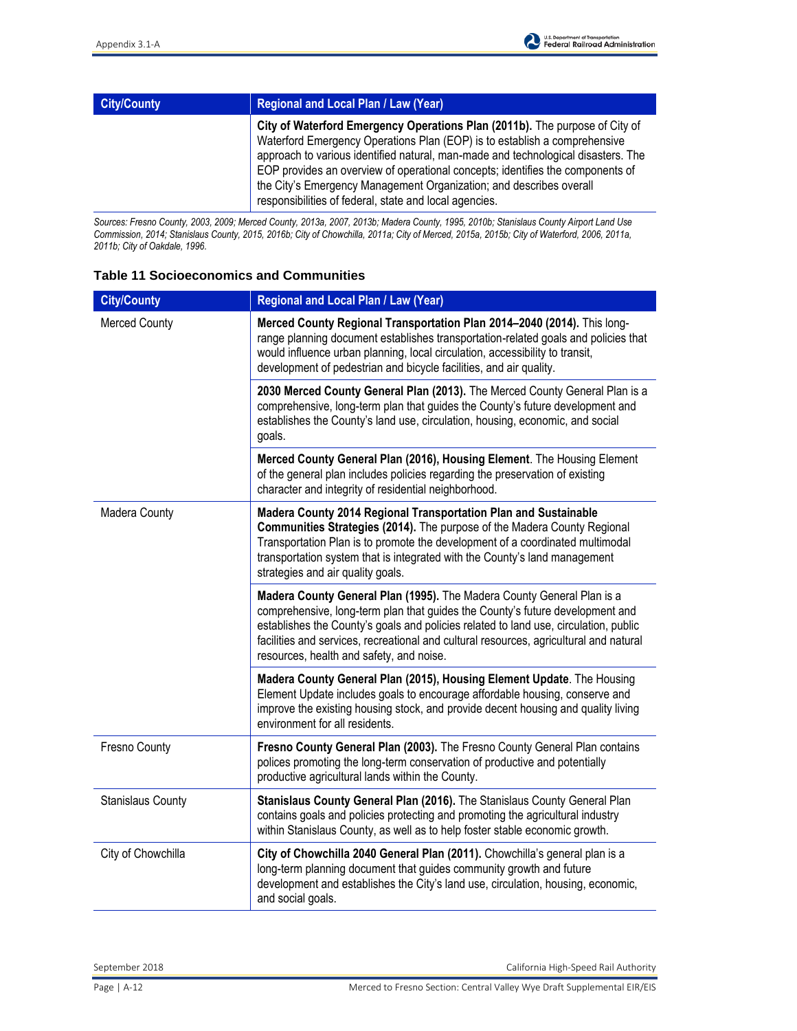| <b>City/County</b> | <b>Regional and Local Plan / Law (Year)</b>                                                                                                                                                                                                                                                                                                                                                                                                                      |
|--------------------|------------------------------------------------------------------------------------------------------------------------------------------------------------------------------------------------------------------------------------------------------------------------------------------------------------------------------------------------------------------------------------------------------------------------------------------------------------------|
|                    | City of Waterford Emergency Operations Plan (2011b). The purpose of City of<br>Waterford Emergency Operations Plan (EOP) is to establish a comprehensive<br>approach to various identified natural, man-made and technological disasters. The<br>EOP provides an overview of operational concepts; identifies the components of<br>the City's Emergency Management Organization; and describes overall<br>responsibilities of federal, state and local agencies. |

*Sources: Fresno County, 2003, 2009; Merced County, 2013a, 2007, 2013b; Madera County, 1995, 2010b; Stanislaus County Airport Land Use Commission, 2014; Stanislaus County, 2015, 2016b; City of Chowchilla, 2011a; City of Merced, 2015a, 2015b; City of Waterford, 2006, 2011a, 2011b; City of Oakdale, 1996.* 

#### **Table 11 Socioeconomics and Communities**

| <b>City/County</b>       | Regional and Local Plan / Law (Year)                                                                                                                                                                                                                                                                                                                                                  |
|--------------------------|---------------------------------------------------------------------------------------------------------------------------------------------------------------------------------------------------------------------------------------------------------------------------------------------------------------------------------------------------------------------------------------|
| <b>Merced County</b>     | Merced County Regional Transportation Plan 2014-2040 (2014). This long-<br>range planning document establishes transportation-related goals and policies that<br>would influence urban planning, local circulation, accessibility to transit,<br>development of pedestrian and bicycle facilities, and air quality.                                                                   |
|                          | 2030 Merced County General Plan (2013). The Merced County General Plan is a<br>comprehensive, long-term plan that guides the County's future development and<br>establishes the County's land use, circulation, housing, economic, and social<br>goals.                                                                                                                               |
|                          | Merced County General Plan (2016), Housing Element. The Housing Element<br>of the general plan includes policies regarding the preservation of existing<br>character and integrity of residential neighborhood.                                                                                                                                                                       |
| Madera County            | Madera County 2014 Regional Transportation Plan and Sustainable<br>Communities Strategies (2014). The purpose of the Madera County Regional<br>Transportation Plan is to promote the development of a coordinated multimodal<br>transportation system that is integrated with the County's land management<br>strategies and air quality goals.                                       |
|                          | Madera County General Plan (1995). The Madera County General Plan is a<br>comprehensive, long-term plan that guides the County's future development and<br>establishes the County's goals and policies related to land use, circulation, public<br>facilities and services, recreational and cultural resources, agricultural and natural<br>resources, health and safety, and noise. |
|                          | Madera County General Plan (2015), Housing Element Update. The Housing<br>Element Update includes goals to encourage affordable housing, conserve and<br>improve the existing housing stock, and provide decent housing and quality living<br>environment for all residents.                                                                                                          |
| Fresno County            | Fresno County General Plan (2003). The Fresno County General Plan contains<br>polices promoting the long-term conservation of productive and potentially<br>productive agricultural lands within the County.                                                                                                                                                                          |
| <b>Stanislaus County</b> | Stanislaus County General Plan (2016). The Stanislaus County General Plan<br>contains goals and policies protecting and promoting the agricultural industry<br>within Stanislaus County, as well as to help foster stable economic growth.                                                                                                                                            |
| City of Chowchilla       | City of Chowchilla 2040 General Plan (2011). Chowchilla's general plan is a<br>long-term planning document that guides community growth and future<br>development and establishes the City's land use, circulation, housing, economic,<br>and social goals.                                                                                                                           |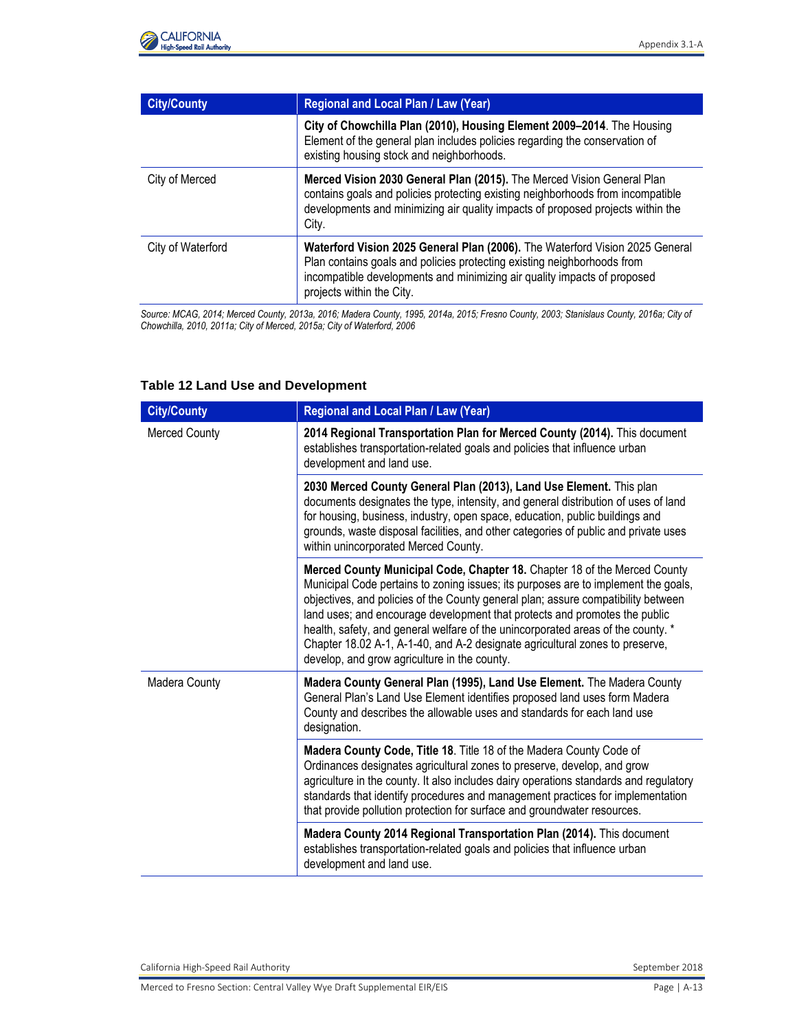

| <b>City/County</b> | Regional and Local Plan / Law (Year)                                                                                                                                                                                                                             |
|--------------------|------------------------------------------------------------------------------------------------------------------------------------------------------------------------------------------------------------------------------------------------------------------|
|                    | City of Chowchilla Plan (2010), Housing Element 2009-2014. The Housing<br>Element of the general plan includes policies regarding the conservation of<br>existing housing stock and neighborhoods.                                                               |
| City of Merced     | Merced Vision 2030 General Plan (2015). The Merced Vision General Plan<br>contains goals and policies protecting existing neighborhoods from incompatible<br>developments and minimizing air quality impacts of proposed projects within the<br>City.            |
| City of Waterford  | Waterford Vision 2025 General Plan (2006). The Waterford Vision 2025 General<br>Plan contains goals and policies protecting existing neighborhoods from<br>incompatible developments and minimizing air quality impacts of proposed<br>projects within the City. |

*Source: MCAG, 2014; Merced County, 2013a, 2016; Madera County, 1995, 2014a, 2015; Fresno County, 2003; Stanislaus County, 2016a; City of Chowchilla, 2010, 2011a; City of Merced, 2015a; City of Waterford, 2006* 

| <b>City/County</b>   | <b>Regional and Local Plan / Law (Year)</b>                                                                                                                                                                                                                                                                                                                                                                                                                                                                                                            |
|----------------------|--------------------------------------------------------------------------------------------------------------------------------------------------------------------------------------------------------------------------------------------------------------------------------------------------------------------------------------------------------------------------------------------------------------------------------------------------------------------------------------------------------------------------------------------------------|
| <b>Merced County</b> | 2014 Regional Transportation Plan for Merced County (2014). This document<br>establishes transportation-related goals and policies that influence urban<br>development and land use.                                                                                                                                                                                                                                                                                                                                                                   |
|                      | 2030 Merced County General Plan (2013), Land Use Element. This plan<br>documents designates the type, intensity, and general distribution of uses of land<br>for housing, business, industry, open space, education, public buildings and<br>grounds, waste disposal facilities, and other categories of public and private uses<br>within unincorporated Merced County.                                                                                                                                                                               |
|                      | Merced County Municipal Code, Chapter 18. Chapter 18 of the Merced County<br>Municipal Code pertains to zoning issues; its purposes are to implement the goals,<br>objectives, and policies of the County general plan; assure compatibility between<br>land uses; and encourage development that protects and promotes the public<br>health, safety, and general welfare of the unincorporated areas of the county. *<br>Chapter 18.02 A-1, A-1-40, and A-2 designate agricultural zones to preserve,<br>develop, and grow agriculture in the county. |
| Madera County        | Madera County General Plan (1995), Land Use Element. The Madera County<br>General Plan's Land Use Element identifies proposed land uses form Madera<br>County and describes the allowable uses and standards for each land use<br>designation.                                                                                                                                                                                                                                                                                                         |
|                      | Madera County Code, Title 18. Title 18 of the Madera County Code of<br>Ordinances designates agricultural zones to preserve, develop, and grow<br>agriculture in the county. It also includes dairy operations standards and regulatory<br>standards that identify procedures and management practices for implementation<br>that provide pollution protection for surface and groundwater resources.                                                                                                                                                  |
|                      | Madera County 2014 Regional Transportation Plan (2014). This document<br>establishes transportation-related goals and policies that influence urban<br>development and land use.                                                                                                                                                                                                                                                                                                                                                                       |

#### **Table 12 Land Use and Development**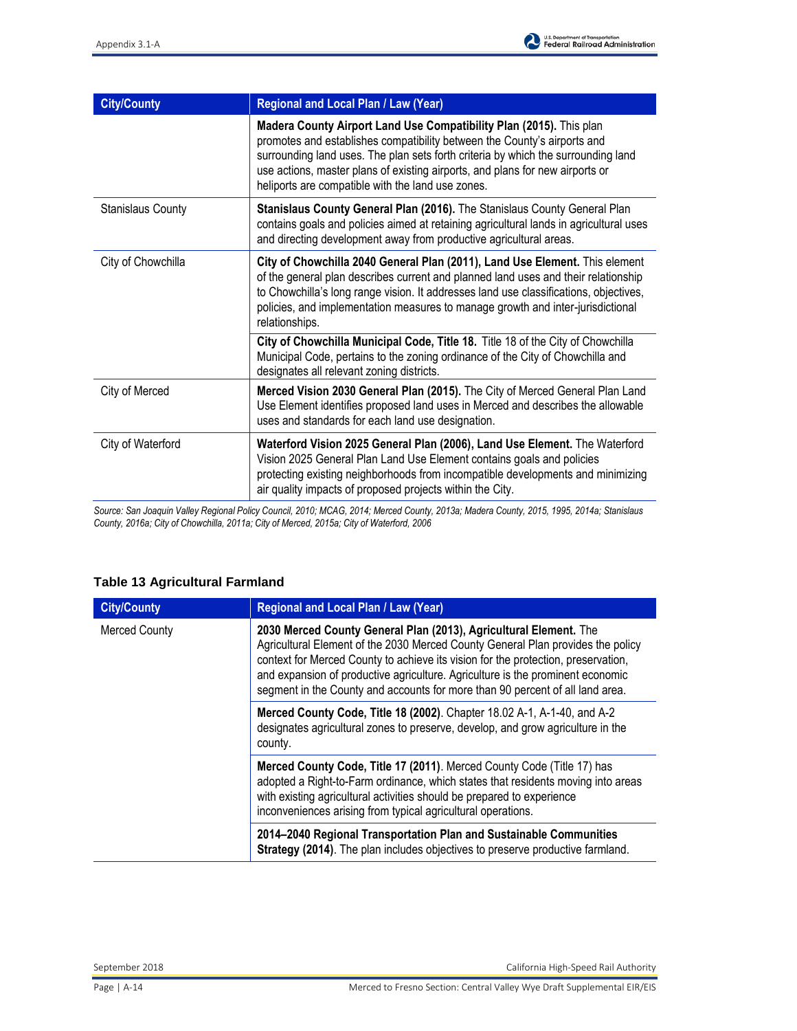

| <b>City/County</b>       | Regional and Local Plan / Law (Year)                                                                                                                                                                                                                                                                                                                                       |
|--------------------------|----------------------------------------------------------------------------------------------------------------------------------------------------------------------------------------------------------------------------------------------------------------------------------------------------------------------------------------------------------------------------|
|                          | Madera County Airport Land Use Compatibility Plan (2015). This plan<br>promotes and establishes compatibility between the County's airports and<br>surrounding land uses. The plan sets forth criteria by which the surrounding land<br>use actions, master plans of existing airports, and plans for new airports or<br>heliports are compatible with the land use zones. |
| <b>Stanislaus County</b> | Stanislaus County General Plan (2016). The Stanislaus County General Plan<br>contains goals and policies aimed at retaining agricultural lands in agricultural uses<br>and directing development away from productive agricultural areas.                                                                                                                                  |
| City of Chowchilla       | City of Chowchilla 2040 General Plan (2011), Land Use Element. This element<br>of the general plan describes current and planned land uses and their relationship<br>to Chowchilla's long range vision. It addresses land use classifications, objectives,<br>policies, and implementation measures to manage growth and inter-jurisdictional<br>relationships.            |
|                          | City of Chowchilla Municipal Code, Title 18. Title 18 of the City of Chowchilla<br>Municipal Code, pertains to the zoning ordinance of the City of Chowchilla and<br>designates all relevant zoning districts.                                                                                                                                                             |
| City of Merced           | Merced Vision 2030 General Plan (2015). The City of Merced General Plan Land<br>Use Element identifies proposed land uses in Merced and describes the allowable<br>uses and standards for each land use designation.                                                                                                                                                       |
| City of Waterford        | Waterford Vision 2025 General Plan (2006), Land Use Element. The Waterford<br>Vision 2025 General Plan Land Use Element contains goals and policies<br>protecting existing neighborhoods from incompatible developments and minimizing<br>air quality impacts of proposed projects within the City.                                                                        |

*Source: San Joaquin Valley Regional Policy Council, 2010; MCAG, 2014; Merced County, 2013a; Madera County, 2015, 1995, 2014a; Stanislaus County, 2016a; City of Chowchilla, 2011a; City of Merced, 2015a; City of Waterford, 2006* 

### **Table 13 Agricultural Farmland**

| <b>City/County</b>   | Regional and Local Plan / Law (Year)                                                                                                                                                                                                                                                                                                                                                                         |
|----------------------|--------------------------------------------------------------------------------------------------------------------------------------------------------------------------------------------------------------------------------------------------------------------------------------------------------------------------------------------------------------------------------------------------------------|
| <b>Merced County</b> | 2030 Merced County General Plan (2013), Agricultural Element. The<br>Agricultural Element of the 2030 Merced County General Plan provides the policy<br>context for Merced County to achieve its vision for the protection, preservation,<br>and expansion of productive agriculture. Agriculture is the prominent economic<br>segment in the County and accounts for more than 90 percent of all land area. |
|                      | Merced County Code, Title 18 (2002). Chapter 18.02 A-1, A-1-40, and A-2<br>designates agricultural zones to preserve, develop, and grow agriculture in the<br>county.                                                                                                                                                                                                                                        |
|                      | Merced County Code, Title 17 (2011). Merced County Code (Title 17) has<br>adopted a Right-to-Farm ordinance, which states that residents moving into areas<br>with existing agricultural activities should be prepared to experience<br>inconveniences arising from typical agricultural operations.                                                                                                         |
|                      | 2014–2040 Regional Transportation Plan and Sustainable Communities<br>Strategy (2014). The plan includes objectives to preserve productive farmland.                                                                                                                                                                                                                                                         |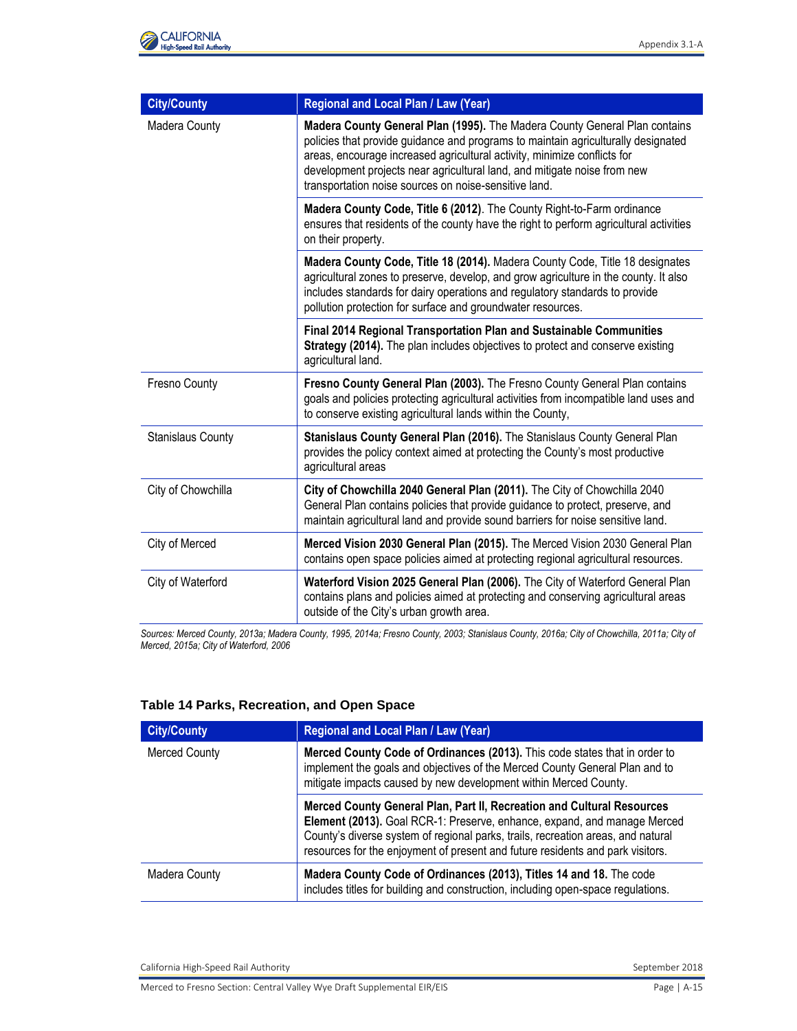| <b>City/County</b> | Regional and Local Plan / Law (Year)                                                                                                                                                                                                                                                                                                                                             |
|--------------------|----------------------------------------------------------------------------------------------------------------------------------------------------------------------------------------------------------------------------------------------------------------------------------------------------------------------------------------------------------------------------------|
| Madera County      | Madera County General Plan (1995). The Madera County General Plan contains<br>policies that provide guidance and programs to maintain agriculturally designated<br>areas, encourage increased agricultural activity, minimize conflicts for<br>development projects near agricultural land, and mitigate noise from new<br>transportation noise sources on noise-sensitive land. |
|                    | Madera County Code, Title 6 (2012). The County Right-to-Farm ordinance<br>ensures that residents of the county have the right to perform agricultural activities<br>on their property.                                                                                                                                                                                           |
|                    | Madera County Code, Title 18 (2014). Madera County Code, Title 18 designates<br>agricultural zones to preserve, develop, and grow agriculture in the county. It also<br>includes standards for dairy operations and regulatory standards to provide<br>pollution protection for surface and groundwater resources.                                                               |
|                    | Final 2014 Regional Transportation Plan and Sustainable Communities<br>Strategy (2014). The plan includes objectives to protect and conserve existing<br>agricultural land.                                                                                                                                                                                                      |
| Fresno County      | Fresno County General Plan (2003). The Fresno County General Plan contains<br>goals and policies protecting agricultural activities from incompatible land uses and<br>to conserve existing agricultural lands within the County,                                                                                                                                                |
| Stanislaus County  | Stanislaus County General Plan (2016). The Stanislaus County General Plan<br>provides the policy context aimed at protecting the County's most productive<br>agricultural areas                                                                                                                                                                                                  |
| City of Chowchilla | City of Chowchilla 2040 General Plan (2011). The City of Chowchilla 2040<br>General Plan contains policies that provide guidance to protect, preserve, and<br>maintain agricultural land and provide sound barriers for noise sensitive land.                                                                                                                                    |
| City of Merced     | Merced Vision 2030 General Plan (2015). The Merced Vision 2030 General Plan<br>contains open space policies aimed at protecting regional agricultural resources.                                                                                                                                                                                                                 |
| City of Waterford  | Waterford Vision 2025 General Plan (2006). The City of Waterford General Plan<br>contains plans and policies aimed at protecting and conserving agricultural areas<br>outside of the City's urban growth area.                                                                                                                                                                   |

*Sources: Merced County, 2013a; Madera County, 1995, 2014a; Fresno County, 2003; Stanislaus County, 2016a; City of Chowchilla, 2011a; City of Merced, 2015a; City of Waterford, 2006*

#### **Table 14 Parks, Recreation, and Open Space**

| <b>City/County</b>   | <b>Regional and Local Plan / Law (Year)</b>                                                                                                                                                                                                                                                                              |
|----------------------|--------------------------------------------------------------------------------------------------------------------------------------------------------------------------------------------------------------------------------------------------------------------------------------------------------------------------|
| <b>Merced County</b> | Merced County Code of Ordinances (2013). This code states that in order to<br>implement the goals and objectives of the Merced County General Plan and to<br>mitigate impacts caused by new development within Merced County.                                                                                            |
|                      | Merced County General Plan, Part II, Recreation and Cultural Resources<br>Element (2013). Goal RCR-1: Preserve, enhance, expand, and manage Merced<br>County's diverse system of regional parks, trails, recreation areas, and natural<br>resources for the enjoyment of present and future residents and park visitors. |
| Madera County        | Madera County Code of Ordinances (2013), Titles 14 and 18. The code<br>includes titles for building and construction, including open-space regulations.                                                                                                                                                                  |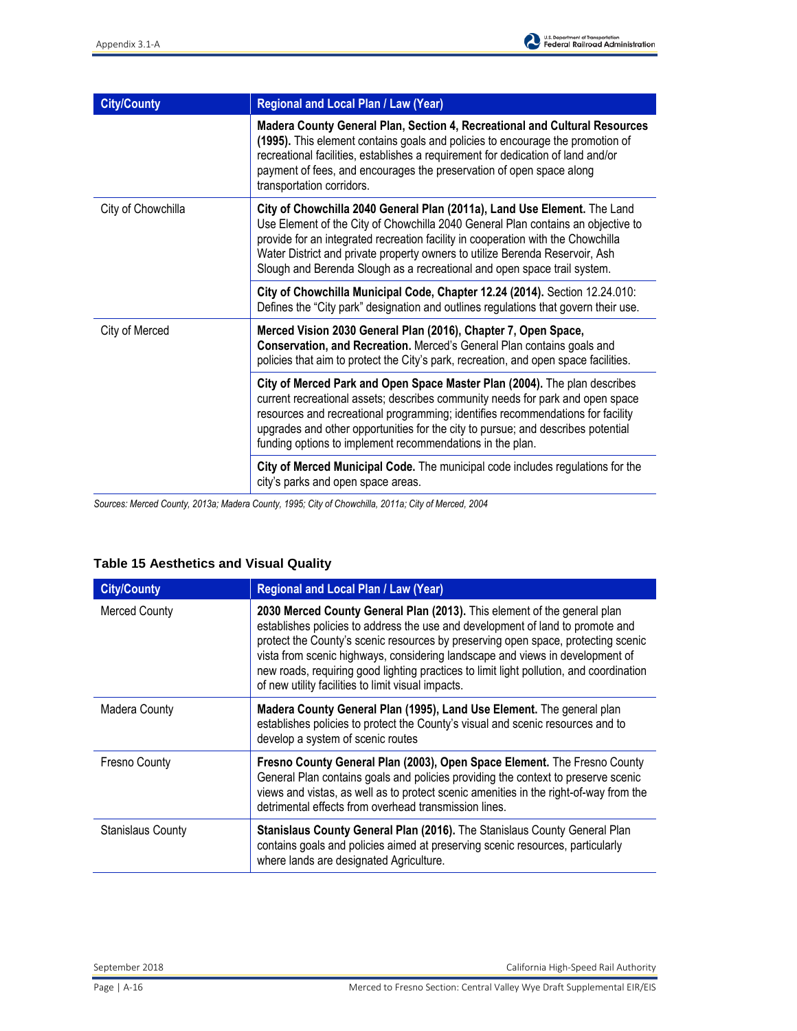

| <b>City/County</b> | <b>Regional and Local Plan / Law (Year)</b>                                                                                                                                                                                                                                                                                                                                                                  |
|--------------------|--------------------------------------------------------------------------------------------------------------------------------------------------------------------------------------------------------------------------------------------------------------------------------------------------------------------------------------------------------------------------------------------------------------|
|                    | Madera County General Plan, Section 4, Recreational and Cultural Resources<br>(1995). This element contains goals and policies to encourage the promotion of<br>recreational facilities, establishes a requirement for dedication of land and/or<br>payment of fees, and encourages the preservation of open space along<br>transportation corridors.                                                        |
| City of Chowchilla | City of Chowchilla 2040 General Plan (2011a), Land Use Element. The Land<br>Use Element of the City of Chowchilla 2040 General Plan contains an objective to<br>provide for an integrated recreation facility in cooperation with the Chowchilla<br>Water District and private property owners to utilize Berenda Reservoir, Ash<br>Slough and Berenda Slough as a recreational and open space trail system. |
|                    | City of Chowchilla Municipal Code, Chapter 12.24 (2014). Section 12.24.010:<br>Defines the "City park" designation and outlines regulations that govern their use.                                                                                                                                                                                                                                           |
| City of Merced     | Merced Vision 2030 General Plan (2016), Chapter 7, Open Space,<br>Conservation, and Recreation. Merced's General Plan contains goals and<br>policies that aim to protect the City's park, recreation, and open space facilities.                                                                                                                                                                             |
|                    | City of Merced Park and Open Space Master Plan (2004). The plan describes<br>current recreational assets; describes community needs for park and open space<br>resources and recreational programming; identifies recommendations for facility<br>upgrades and other opportunities for the city to pursue; and describes potential<br>funding options to implement recommendations in the plan.              |
|                    | City of Merced Municipal Code. The municipal code includes regulations for the<br>city's parks and open space areas.                                                                                                                                                                                                                                                                                         |

*Sources: Merced County, 2013a; Madera County, 1995; City of Chowchilla, 2011a; City of Merced, 2004* 

# **Table 15 Aesthetics and Visual Quality**

| <b>City/County</b>       | Regional and Local Plan / Law (Year)                                                                                                                                                                                                                                                                                                                                                                                                                                              |
|--------------------------|-----------------------------------------------------------------------------------------------------------------------------------------------------------------------------------------------------------------------------------------------------------------------------------------------------------------------------------------------------------------------------------------------------------------------------------------------------------------------------------|
| <b>Merced County</b>     | 2030 Merced County General Plan (2013). This element of the general plan<br>establishes policies to address the use and development of land to promote and<br>protect the County's scenic resources by preserving open space, protecting scenic<br>vista from scenic highways, considering landscape and views in development of<br>new roads, requiring good lighting practices to limit light pollution, and coordination<br>of new utility facilities to limit visual impacts. |
| <b>Madera County</b>     | Madera County General Plan (1995), Land Use Element. The general plan<br>establishes policies to protect the County's visual and scenic resources and to<br>develop a system of scenic routes                                                                                                                                                                                                                                                                                     |
| <b>Fresno County</b>     | Fresno County General Plan (2003), Open Space Element. The Fresno County<br>General Plan contains goals and policies providing the context to preserve scenic<br>views and vistas, as well as to protect scenic amenities in the right-of-way from the<br>detrimental effects from overhead transmission lines.                                                                                                                                                                   |
| <b>Stanislaus County</b> | Stanislaus County General Plan (2016). The Stanislaus County General Plan<br>contains goals and policies aimed at preserving scenic resources, particularly<br>where lands are designated Agriculture.                                                                                                                                                                                                                                                                            |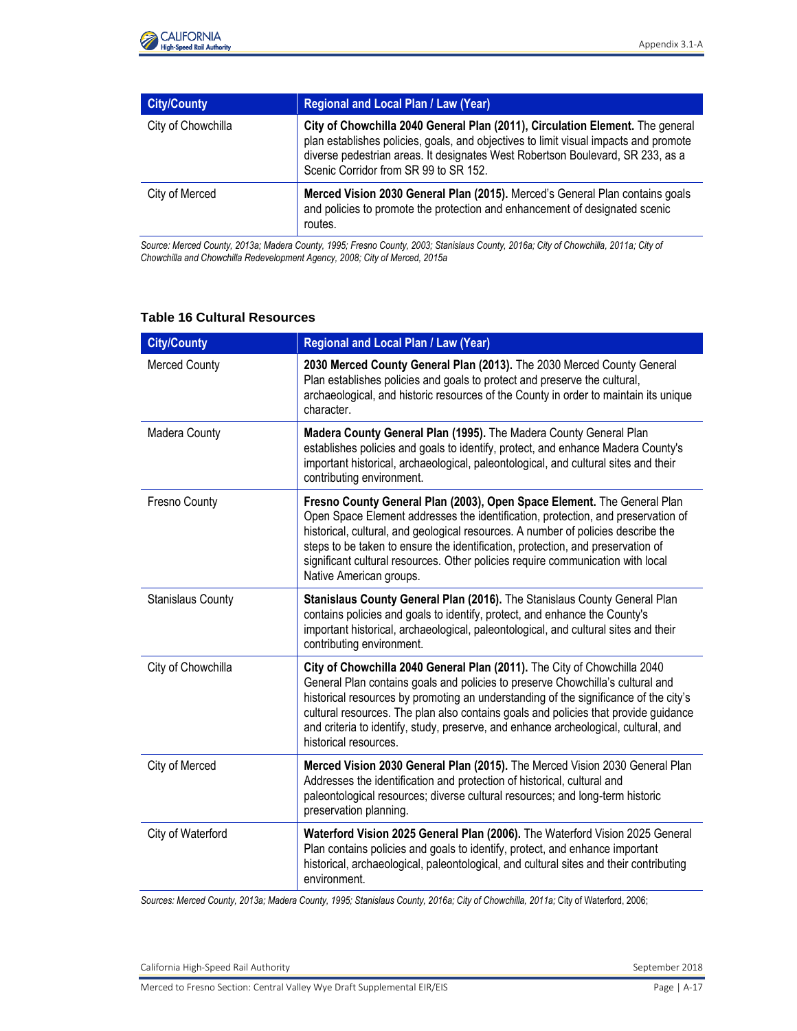

| <b>City/County</b> | <b>Regional and Local Plan / Law (Year)</b>                                                                                                                                                                                                                                                      |
|--------------------|--------------------------------------------------------------------------------------------------------------------------------------------------------------------------------------------------------------------------------------------------------------------------------------------------|
| City of Chowchilla | City of Chowchilla 2040 General Plan (2011), Circulation Element. The general<br>plan establishes policies, goals, and objectives to limit visual impacts and promote<br>diverse pedestrian areas. It designates West Robertson Boulevard, SR 233, as a<br>Scenic Corridor from SR 99 to SR 152. |
| City of Merced     | Merced Vision 2030 General Plan (2015). Merced's General Plan contains goals<br>and policies to promote the protection and enhancement of designated scenic<br>routes.                                                                                                                           |

*Source: Merced County, 2013a; Madera County, 1995; Fresno County, 2003; Stanislaus County, 2016a; City of Chowchilla, 2011a; City of Chowchilla and Chowchilla Redevelopment Agency, 2008; City of Merced, 2015a* 

### **Table 16 Cultural Resources**

| <b>City/County</b>       | Regional and Local Plan / Law (Year)                                                                                                                                                                                                                                                                                                                                                                                                                      |
|--------------------------|-----------------------------------------------------------------------------------------------------------------------------------------------------------------------------------------------------------------------------------------------------------------------------------------------------------------------------------------------------------------------------------------------------------------------------------------------------------|
| <b>Merced County</b>     | 2030 Merced County General Plan (2013). The 2030 Merced County General<br>Plan establishes policies and goals to protect and preserve the cultural,<br>archaeological, and historic resources of the County in order to maintain its unique<br>character.                                                                                                                                                                                                 |
| Madera County            | Madera County General Plan (1995). The Madera County General Plan<br>establishes policies and goals to identify, protect, and enhance Madera County's<br>important historical, archaeological, paleontological, and cultural sites and their<br>contributing environment.                                                                                                                                                                                 |
| Fresno County            | Fresno County General Plan (2003), Open Space Element. The General Plan<br>Open Space Element addresses the identification, protection, and preservation of<br>historical, cultural, and geological resources. A number of policies describe the<br>steps to be taken to ensure the identification, protection, and preservation of<br>significant cultural resources. Other policies require communication with local<br>Native American groups.         |
| <b>Stanislaus County</b> | Stanislaus County General Plan (2016). The Stanislaus County General Plan<br>contains policies and goals to identify, protect, and enhance the County's<br>important historical, archaeological, paleontological, and cultural sites and their<br>contributing environment.                                                                                                                                                                               |
| City of Chowchilla       | City of Chowchilla 2040 General Plan (2011). The City of Chowchilla 2040<br>General Plan contains goals and policies to preserve Chowchilla's cultural and<br>historical resources by promoting an understanding of the significance of the city's<br>cultural resources. The plan also contains goals and policies that provide guidance<br>and criteria to identify, study, preserve, and enhance archeological, cultural, and<br>historical resources. |
| City of Merced           | Merced Vision 2030 General Plan (2015). The Merced Vision 2030 General Plan<br>Addresses the identification and protection of historical, cultural and<br>paleontological resources; diverse cultural resources; and long-term historic<br>preservation planning.                                                                                                                                                                                         |
| City of Waterford        | Waterford Vision 2025 General Plan (2006). The Waterford Vision 2025 General<br>Plan contains policies and goals to identify, protect, and enhance important<br>historical, archaeological, paleontological, and cultural sites and their contributing<br>environment.                                                                                                                                                                                    |

*Sources: Merced County, 2013a; Madera County, 1995; Stanislaus County, 2016a; City of Chowchilla, 2011a;* City of Waterford, 2006;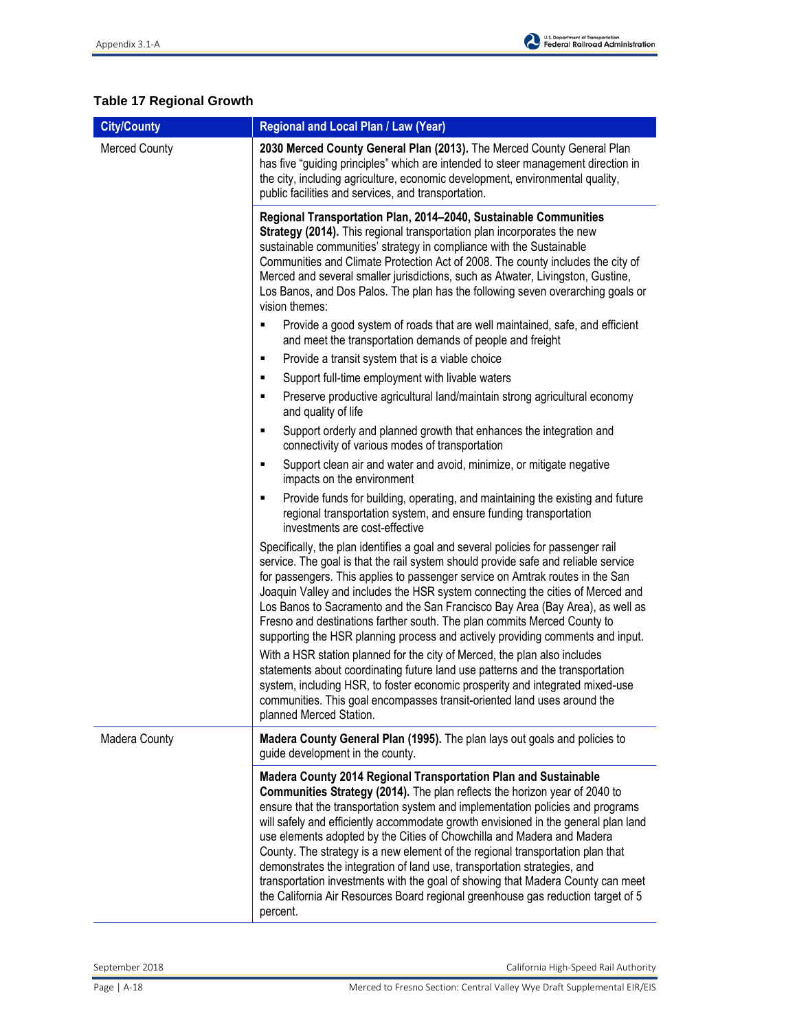

# **Table 17 Regional Growth**

| <b>City/County</b>   | Regional and Local Plan / Law (Year)                                                                                                                                                                                                                                                                                                                                                                                                                                                                                                                                                                                                                                                                                                             |
|----------------------|--------------------------------------------------------------------------------------------------------------------------------------------------------------------------------------------------------------------------------------------------------------------------------------------------------------------------------------------------------------------------------------------------------------------------------------------------------------------------------------------------------------------------------------------------------------------------------------------------------------------------------------------------------------------------------------------------------------------------------------------------|
| <b>Merced County</b> | 2030 Merced County General Plan (2013). The Merced County General Plan<br>has five "guiding principles" which are intended to steer management direction in<br>the city, including agriculture, economic development, environmental quality,<br>public facilities and services, and transportation.                                                                                                                                                                                                                                                                                                                                                                                                                                              |
|                      | Regional Transportation Plan, 2014-2040, Sustainable Communities<br>Strategy (2014). This regional transportation plan incorporates the new<br>sustainable communities' strategy in compliance with the Sustainable<br>Communities and Climate Protection Act of 2008. The county includes the city of<br>Merced and several smaller jurisdictions, such as Atwater, Livingston, Gustine,<br>Los Banos, and Dos Palos. The plan has the following seven overarching goals or<br>vision themes:                                                                                                                                                                                                                                                   |
|                      | Provide a good system of roads that are well maintained, safe, and efficient<br>٠<br>and meet the transportation demands of people and freight                                                                                                                                                                                                                                                                                                                                                                                                                                                                                                                                                                                                   |
|                      | Provide a transit system that is a viable choice<br>٠                                                                                                                                                                                                                                                                                                                                                                                                                                                                                                                                                                                                                                                                                            |
|                      | Support full-time employment with livable waters<br>٠                                                                                                                                                                                                                                                                                                                                                                                                                                                                                                                                                                                                                                                                                            |
|                      | Preserve productive agricultural land/maintain strong agricultural economy<br>٠<br>and quality of life                                                                                                                                                                                                                                                                                                                                                                                                                                                                                                                                                                                                                                           |
|                      | Support orderly and planned growth that enhances the integration and<br>٠<br>connectivity of various modes of transportation                                                                                                                                                                                                                                                                                                                                                                                                                                                                                                                                                                                                                     |
|                      | Support clean air and water and avoid, minimize, or mitigate negative<br>٠<br>impacts on the environment                                                                                                                                                                                                                                                                                                                                                                                                                                                                                                                                                                                                                                         |
|                      | Provide funds for building, operating, and maintaining the existing and future<br>٠<br>regional transportation system, and ensure funding transportation<br>investments are cost-effective                                                                                                                                                                                                                                                                                                                                                                                                                                                                                                                                                       |
|                      | Specifically, the plan identifies a goal and several policies for passenger rail<br>service. The goal is that the rail system should provide safe and reliable service<br>for passengers. This applies to passenger service on Amtrak routes in the San<br>Joaquin Valley and includes the HSR system connecting the cities of Merced and<br>Los Banos to Sacramento and the San Francisco Bay Area (Bay Area), as well as<br>Fresno and destinations farther south. The plan commits Merced County to<br>supporting the HSR planning process and actively providing comments and input.                                                                                                                                                         |
|                      | With a HSR station planned for the city of Merced, the plan also includes<br>statements about coordinating future land use patterns and the transportation<br>system, including HSR, to foster economic prosperity and integrated mixed-use<br>communities. This goal encompasses transit-oriented land uses around the<br>planned Merced Station.                                                                                                                                                                                                                                                                                                                                                                                               |
| Madera County        | Madera County General Plan (1995). The plan lays out goals and policies to<br>guide development in the county.                                                                                                                                                                                                                                                                                                                                                                                                                                                                                                                                                                                                                                   |
|                      | Madera County 2014 Regional Transportation Plan and Sustainable<br>Communities Strategy (2014). The plan reflects the horizon year of 2040 to<br>ensure that the transportation system and implementation policies and programs<br>will safely and efficiently accommodate growth envisioned in the general plan land<br>use elements adopted by the Cities of Chowchilla and Madera and Madera<br>County. The strategy is a new element of the regional transportation plan that<br>demonstrates the integration of land use, transportation strategies, and<br>transportation investments with the goal of showing that Madera County can meet<br>the California Air Resources Board regional greenhouse gas reduction target of 5<br>percent. |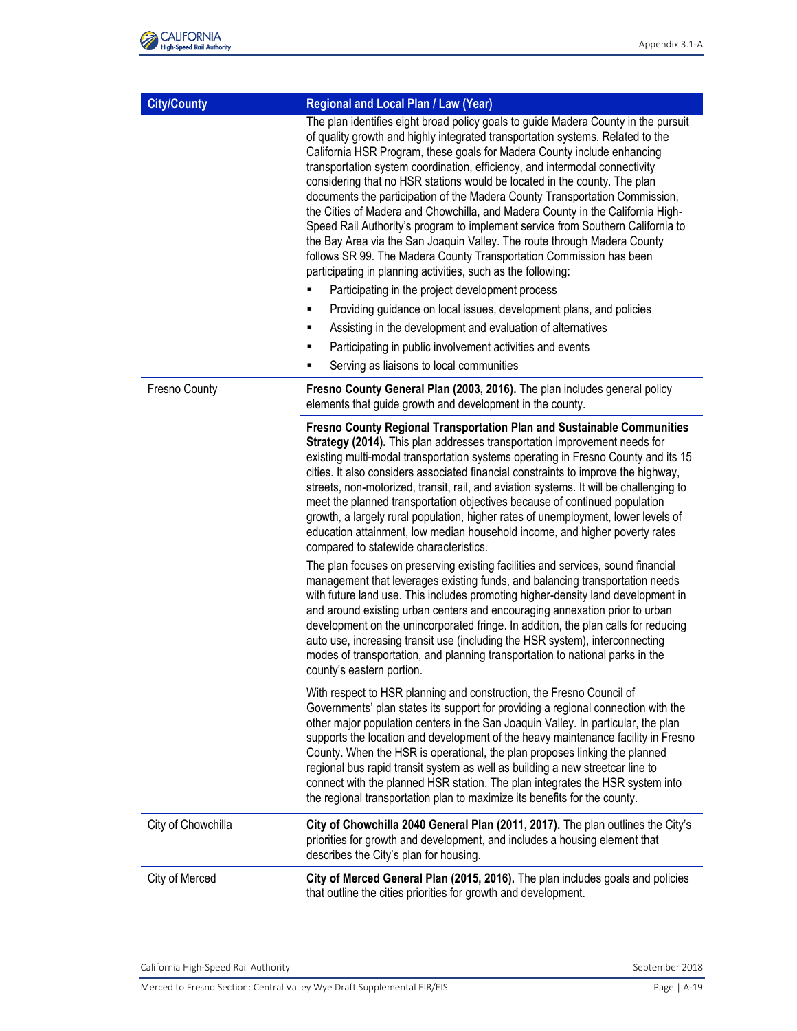| <b>City/County</b> | Regional and Local Plan / Law (Year)                                                                                                                                                                                                                                                                                                                                                                                                                                                                                                                                                                                                                                                                                                                                                                                                                                                                                                                                                                                                                                                                                                                                                                                                                                                                                                            |
|--------------------|-------------------------------------------------------------------------------------------------------------------------------------------------------------------------------------------------------------------------------------------------------------------------------------------------------------------------------------------------------------------------------------------------------------------------------------------------------------------------------------------------------------------------------------------------------------------------------------------------------------------------------------------------------------------------------------------------------------------------------------------------------------------------------------------------------------------------------------------------------------------------------------------------------------------------------------------------------------------------------------------------------------------------------------------------------------------------------------------------------------------------------------------------------------------------------------------------------------------------------------------------------------------------------------------------------------------------------------------------|
|                    | The plan identifies eight broad policy goals to guide Madera County in the pursuit<br>of quality growth and highly integrated transportation systems. Related to the<br>California HSR Program, these goals for Madera County include enhancing<br>transportation system coordination, efficiency, and intermodal connectivity<br>considering that no HSR stations would be located in the county. The plan<br>documents the participation of the Madera County Transportation Commission,<br>the Cities of Madera and Chowchilla, and Madera County in the California High-<br>Speed Rail Authority's program to implement service from Southern California to<br>the Bay Area via the San Joaquin Valley. The route through Madera County<br>follows SR 99. The Madera County Transportation Commission has been<br>participating in planning activities, such as the following:<br>Participating in the project development process<br>Providing guidance on local issues, development plans, and policies<br>٠<br>Assisting in the development and evaluation of alternatives<br>٠                                                                                                                                                                                                                                                          |
|                    | Participating in public involvement activities and events<br>٠<br>٠                                                                                                                                                                                                                                                                                                                                                                                                                                                                                                                                                                                                                                                                                                                                                                                                                                                                                                                                                                                                                                                                                                                                                                                                                                                                             |
| Fresno County      | Serving as liaisons to local communities<br>Fresno County General Plan (2003, 2016). The plan includes general policy<br>elements that guide growth and development in the county.                                                                                                                                                                                                                                                                                                                                                                                                                                                                                                                                                                                                                                                                                                                                                                                                                                                                                                                                                                                                                                                                                                                                                              |
|                    | Fresno County Regional Transportation Plan and Sustainable Communities<br>Strategy (2014). This plan addresses transportation improvement needs for<br>existing multi-modal transportation systems operating in Fresno County and its 15<br>cities. It also considers associated financial constraints to improve the highway,<br>streets, non-motorized, transit, rail, and aviation systems. It will be challenging to<br>meet the planned transportation objectives because of continued population<br>growth, a largely rural population, higher rates of unemployment, lower levels of<br>education attainment, low median household income, and higher poverty rates<br>compared to statewide characteristics.<br>The plan focuses on preserving existing facilities and services, sound financial<br>management that leverages existing funds, and balancing transportation needs<br>with future land use. This includes promoting higher-density land development in<br>and around existing urban centers and encouraging annexation prior to urban<br>development on the unincorporated fringe. In addition, the plan calls for reducing<br>auto use, increasing transit use (including the HSR system), interconnecting<br>modes of transportation, and planning transportation to national parks in the<br>county's eastern portion. |
|                    | With respect to HSR planning and construction, the Fresno Council of<br>Governments' plan states its support for providing a regional connection with the<br>other major population centers in the San Joaquin Valley. In particular, the plan<br>supports the location and development of the heavy maintenance facility in Fresno<br>County. When the HSR is operational, the plan proposes linking the planned<br>regional bus rapid transit system as well as building a new streetcar line to<br>connect with the planned HSR station. The plan integrates the HSR system into<br>the regional transportation plan to maximize its benefits for the county.                                                                                                                                                                                                                                                                                                                                                                                                                                                                                                                                                                                                                                                                                |
| City of Chowchilla | City of Chowchilla 2040 General Plan (2011, 2017). The plan outlines the City's<br>priorities for growth and development, and includes a housing element that<br>describes the City's plan for housing.                                                                                                                                                                                                                                                                                                                                                                                                                                                                                                                                                                                                                                                                                                                                                                                                                                                                                                                                                                                                                                                                                                                                         |
| City of Merced     | City of Merced General Plan (2015, 2016). The plan includes goals and policies<br>that outline the cities priorities for growth and development.                                                                                                                                                                                                                                                                                                                                                                                                                                                                                                                                                                                                                                                                                                                                                                                                                                                                                                                                                                                                                                                                                                                                                                                                |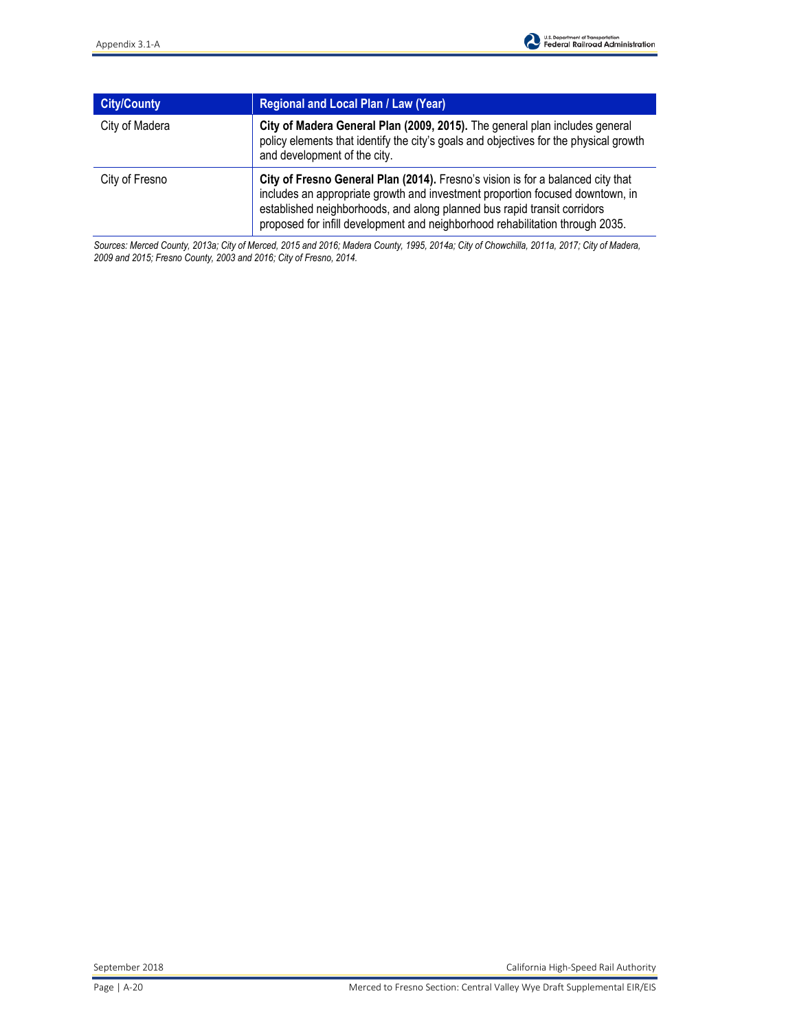| <b>City/County</b> | <b>Regional and Local Plan / Law (Year)</b>                                                                                                                                                                                                                                                                                   |
|--------------------|-------------------------------------------------------------------------------------------------------------------------------------------------------------------------------------------------------------------------------------------------------------------------------------------------------------------------------|
| City of Madera     | City of Madera General Plan (2009, 2015). The general plan includes general<br>policy elements that identify the city's goals and objectives for the physical growth<br>and development of the city.                                                                                                                          |
| City of Fresno     | City of Fresno General Plan (2014). Fresno's vision is for a balanced city that<br>includes an appropriate growth and investment proportion focused downtown, in<br>established neighborhoods, and along planned bus rapid transit corridors<br>proposed for infill development and neighborhood rehabilitation through 2035. |

*Sources: Merced County, 2013a; City of Merced, 2015 and 2016; Madera County, 1995, 2014a; City of Chowchilla, 2011a, 2017; City of Madera, 2009 and 2015; Fresno County, 2003 and 2016; City of Fresno, 2014.*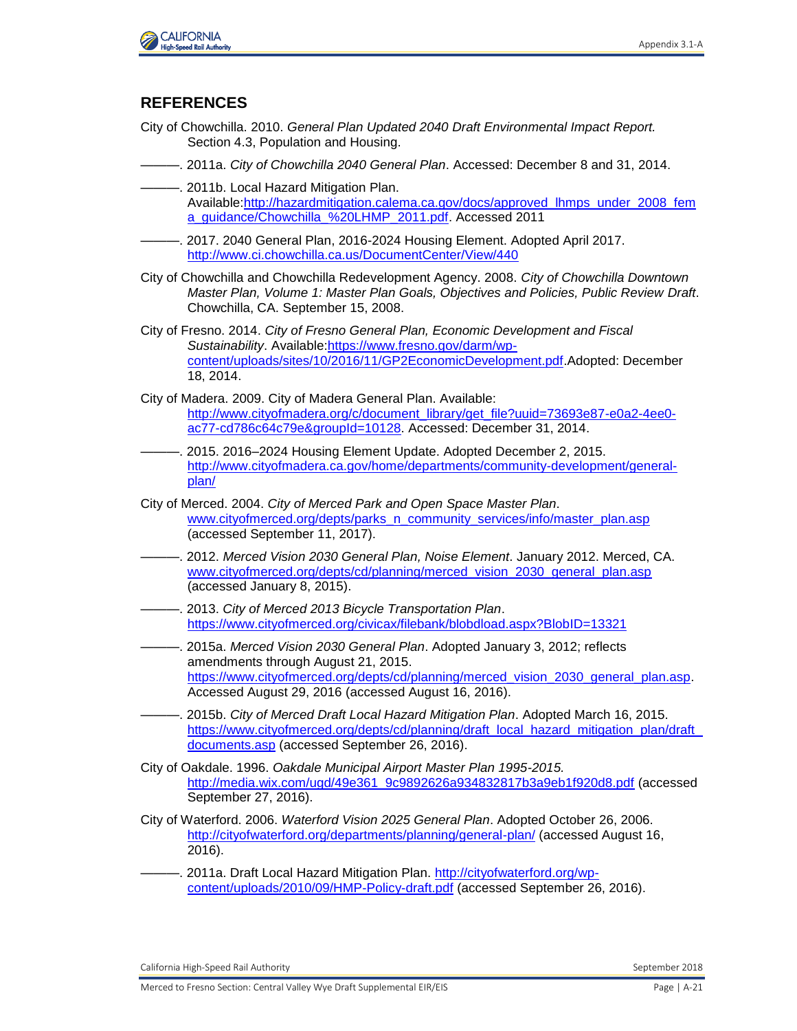

## **REFERENCES**

- City of Chowchilla. 2010. *General Plan Updated 2040 Draft Environmental Impact Report.*  Section 4.3, Population and Housing.
- ———. 2011a. *City of Chowchilla 2040 General Plan*. Accessed: December 8 and 31, 2014.
- ———. 2011b. Local Hazard Mitigation Plan. Available[:http://hazardmitigation.calema.ca.gov/docs/approved\\_lhmps\\_under\\_2008\\_fem](http://hazardmitigation.calema.ca.gov/docs/approved_lhmps_under_2008_fema_guidance/Chowchilla_%20LHMP_2011.pdf) [a\\_guidance/Chowchilla\\_%20LHMP\\_2011.pdf.](http://hazardmitigation.calema.ca.gov/docs/approved_lhmps_under_2008_fema_guidance/Chowchilla_%20LHMP_2011.pdf) Accessed 2011
- ———. 2017. 2040 General Plan, 2016-2024 Housing Element. Adopted April 2017. <http://www.ci.chowchilla.ca.us/DocumentCenter/View/440>
- City of Chowchilla and Chowchilla Redevelopment Agency. 2008. *City of Chowchilla Downtown Master Plan, Volume 1: Master Plan Goals, Objectives and Policies, Public Review Draft*. Chowchilla, CA. September 15, 2008.
- City of Fresno. 2014. *City of Fresno General Plan, Economic Development and Fiscal Sustainability*. Available[:https://www.fresno.gov/darm/wp](https://www.fresno.gov/darm/wp-content/uploads/sites/10/2016/11/GP2EconomicDevelopment.pdf)[content/uploads/sites/10/2016/11/GP2EconomicDevelopment.pdf.](https://www.fresno.gov/darm/wp-content/uploads/sites/10/2016/11/GP2EconomicDevelopment.pdf)Adopted: December 18, 2014.
- City of Madera. 2009. City of Madera General Plan. Available: [http://www.cityofmadera.org/c/document\\_library/get\\_file?uuid=73693e87-e0a2-4ee0](http://www.cityofmadera.org/c/document_library/get_file?uuid=73693e87-e0a2-4ee0-ac77-cd786c64c79e&groupId=10128) [ac77-cd786c64c79e&groupId=10128.](http://www.cityofmadera.org/c/document_library/get_file?uuid=73693e87-e0a2-4ee0-ac77-cd786c64c79e&groupId=10128) Accessed: December 31, 2014.
- ———. 2015. 2016–2024 Housing Element Update. Adopted December 2, 2015. [http://www.cityofmadera.ca.gov/home/departments/community-development/general](http://www.cityofmadera.ca.gov/home/departments/community-development/general-plan/)[plan/](http://www.cityofmadera.ca.gov/home/departments/community-development/general-plan/)
- City of Merced. 2004. *City of Merced Park and Open Space Master Plan*. [www.cityofmerced.org/depts/parks\\_n\\_community\\_services/info/master\\_plan.asp](http://www.cityofmerced.org/depts/parks_n_community_services/info/master_plan.asp) (accessed September 11, 2017).
- ———. 2012. *Merced Vision 2030 General Plan, Noise Element*. January 2012. Merced, CA. [www.cityofmerced.org/depts/cd/planning/merced\\_vision\\_2030\\_general\\_plan.asp](http://www.cityofmerced.org/depts/cd/planning/merced_vision_2030_general_plan.asp) (accessed January 8, 2015).
- ———. 2013. *City of Merced 2013 Bicycle Transportation Plan*. <https://www.cityofmerced.org/civicax/filebank/blobdload.aspx?BlobID=13321>
- ———. 2015a. *Merced Vision 2030 General Plan*. Adopted January 3, 2012; reflects amendments through August 21, 2015. [https://www.cityofmerced.org/depts/cd/planning/merced\\_vision\\_2030\\_general\\_plan.asp.](https://www.cityofmerced.org/depts/cd/planning/merced_vision_2030_general_plan.asp) Accessed August 29, 2016 (accessed August 16, 2016).
- ———. 2015b. *City of Merced Draft Local Hazard Mitigation Plan*. Adopted March 16, 2015. [https://www.cityofmerced.org/depts/cd/planning/draft\\_local\\_hazard\\_mitigation\\_plan/draft\\_](https://www.cityofmerced.org/depts/cd/planning/draft_local_hazard_mitigation_plan/draft_documents.asp) [documents.asp](https://www.cityofmerced.org/depts/cd/planning/draft_local_hazard_mitigation_plan/draft_documents.asp) (accessed September 26, 2016).
- City of Oakdale. 1996. *Oakdale Municipal Airport Master Plan 1995-2015.* [http://media.wix.com/ugd/49e361\\_9c9892626a934832817b3a9eb1f920d8.pdf](http://media.wix.com/ugd/49e361_9c9892626a934832817b3a9eb1f920d8.pdf) (accessed September 27, 2016).
- City of Waterford. 2006. *Waterford Vision 2025 General Plan*. Adopted October 26, 2006. <http://cityofwaterford.org/departments/planning/general-plan/>(accessed August 16, 2016).
- -. 2011a. Draft Local Hazard Mitigation Plan. [http://cityofwaterford.org/wp](http://cityofwaterford.org/wp-content/uploads/2010/09/HMP-Policy-draft.pdf)[content/uploads/2010/09/HMP-Policy-draft.pdf](http://cityofwaterford.org/wp-content/uploads/2010/09/HMP-Policy-draft.pdf) (accessed September 26, 2016).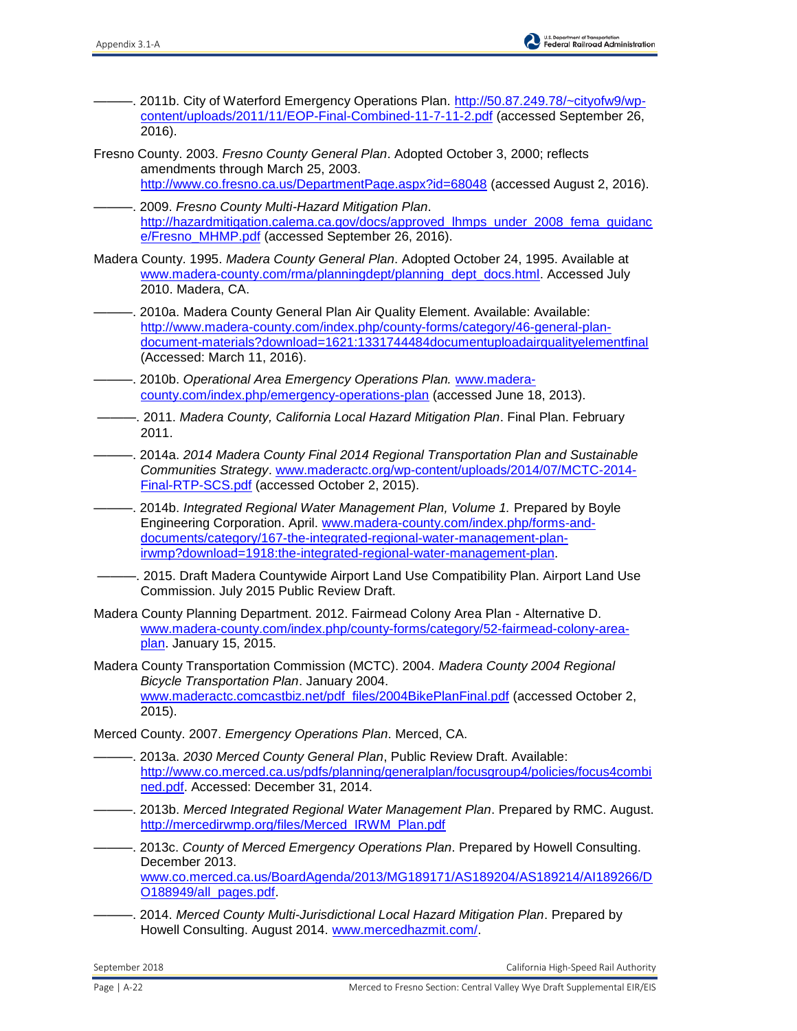- -. 2011b. City of Waterford Emergency Operations Plan. [http://50.87.249.78/~cityofw9/wp](http://50.87.249.78/~cityofw9/wp-content/uploads/2011/11/EOP-Final-Combined-11-7-11-2.pdf)[content/uploads/2011/11/EOP-Final-Combined-11-7-11-2.pdf](http://50.87.249.78/~cityofw9/wp-content/uploads/2011/11/EOP-Final-Combined-11-7-11-2.pdf) (accessed September 26, 2016).
- Fresno County. 2003. *Fresno County General Plan*. Adopted October 3, 2000; reflects amendments through March 25, 2003. <http://www.co.fresno.ca.us/DepartmentPage.aspx?id=68048>(accessed August 2, 2016).
- ———. 2009. *Fresno County Multi-Hazard Mitigation Plan*. [http://hazardmitigation.calema.ca.gov/docs/approved\\_lhmps\\_under\\_2008\\_fema\\_guidanc](http://hazardmitigation.calema.ca.gov/docs/approved_lhmps_under_2008_fema_guidance/Fresno_MHMP.pdf) [e/Fresno\\_MHMP.pdf](http://hazardmitigation.calema.ca.gov/docs/approved_lhmps_under_2008_fema_guidance/Fresno_MHMP.pdf) (accessed September 26, 2016).
- Madera County. 1995. *Madera County General Plan*. Adopted October 24, 1995. Available at [www.madera-county.com/rma/planningdept/planning\\_dept\\_docs.html.](http://www.madera-county.com/rma/planningdept/planning_dept_docs.html) Accessed July 2010. Madera, CA.
- ———. 2010a. Madera County General Plan Air Quality Element. Available: Available: [http://www.madera-county.com/index.php/county-forms/category/46-general-plan](http://www.madera-county.com/index.php/county-forms/category/46-general-plan-document-materials?download=1621:1331744484documentuploadairqualityelementfinal)[document-materials?download=1621:1331744484documentuploadairqualityelementfinal](http://www.madera-county.com/index.php/county-forms/category/46-general-plan-document-materials?download=1621:1331744484documentuploadairqualityelementfinal) (Accessed: March 11, 2016).
- ———. 2010b. *Operational Area Emergency Operations Plan.* [www.madera](http://www.madera-county.com/index.php/emergency-operations-plan)[county.com/index.php/emergency-operations-plan](http://www.madera-county.com/index.php/emergency-operations-plan) (accessed June 18, 2013).
- ———. 2011. *Madera County, California Local Hazard Mitigation Plan*. Final Plan. February 2011.
- ———. 2014a. *2014 Madera County Final 2014 Regional Transportation Plan and Sustainable Communities Strategy*. [www.maderactc.org/wp-content/uploads/2014/07/MCTC-2014-](http://www.maderactc.org/wp-content/uploads/2014/07/MCTC-2014-Final-RTP-SCS.pdf) [Final-RTP-SCS.pdf](http://www.maderactc.org/wp-content/uploads/2014/07/MCTC-2014-Final-RTP-SCS.pdf) (accessed October 2, 2015).
- ———. 2014b. *Integrated Regional Water Management Plan, Volume 1.* Prepared by Boyle Engineering Corporation. April. [www.madera-county.com/index.php/forms-and](http://www.madera-county.com/index.php/forms-and-documents/category/167-the-integrated-regional-water-management-plan-irwmp?download=1918:the-integrated-regional-water-management-plan)[documents/category/167-the-integrated-regional-water-management-plan](http://www.madera-county.com/index.php/forms-and-documents/category/167-the-integrated-regional-water-management-plan-irwmp?download=1918:the-integrated-regional-water-management-plan)[irwmp?download=1918:the-integrated-regional-water-management-plan.](http://www.madera-county.com/index.php/forms-and-documents/category/167-the-integrated-regional-water-management-plan-irwmp?download=1918:the-integrated-regional-water-management-plan)
- . 2015. Draft Madera Countywide Airport Land Use Compatibility Plan. Airport Land Use Commission. July 2015 Public Review Draft.
- Madera County Planning Department. 2012. Fairmead Colony Area Plan Alternative D. [www.madera-county.com/index.php/county-forms/category/52-fairmead-colony-area](http://www.madera-county.com/index.php/county-forms/category/52-fairmead-colony-area-plan)[plan.](http://www.madera-county.com/index.php/county-forms/category/52-fairmead-colony-area-plan) January 15, 2015.
- Madera County Transportation Commission (MCTC). 2004. *Madera County 2004 Regional Bicycle Transportation Plan*. January 2004. [www.maderactc.comcastbiz.net/pdf\\_files/2004BikePlanFinal.pdf](http://www.maderactc.comcastbiz.net/pdf_files/2004BikePlanFinal.pdf) (accessed October 2, 2015).

Merced County. 2007. *Emergency Operations Plan*. Merced, CA.

- ———. 2013a. *2030 Merced County General Plan*, Public Review Draft. Available: [http://www.co.merced.ca.us/pdfs/planning/generalplan/focusgroup4/policies/focus4combi](http://www.co.merced.ca.us/pdfs/planning/generalplan/focusgroup4/policies/focus4combined.pdf) [ned.pdf.](http://www.co.merced.ca.us/pdfs/planning/generalplan/focusgroup4/policies/focus4combined.pdf) Accessed: December 31, 2014.
- ———. 2013b. *Merced Integrated Regional Water Management Plan*. Prepared by RMC. August. [http://mercedirwmp.org/files/Merced\\_IRWM\\_Plan.pdf](http://mercedirwmp.org/files/Merced_IRWM_Plan.pdf)
- ———. 2013c. *County of Merced Emergency Operations Plan*. Prepared by Howell Consulting. December 2013. [www.co.merced.ca.us/BoardAgenda/2013/MG189171/AS189204/AS189214/AI189266/D](http://www.co.merced.ca.us/BoardAgenda/2013/MG189171/AS189204/AS189214/AI189266/DO188949/all_pages.pdf) [O188949/all\\_pages.pdf.](http://www.co.merced.ca.us/BoardAgenda/2013/MG189171/AS189204/AS189214/AI189266/DO188949/all_pages.pdf)
- ———. 2014. *Merced County Multi-Jurisdictional Local Hazard Mitigation Plan*. Prepared by Howell Consulting. August 2014. [www.mercedhazmit.com/.](http://www.mercedhazmit.com/)